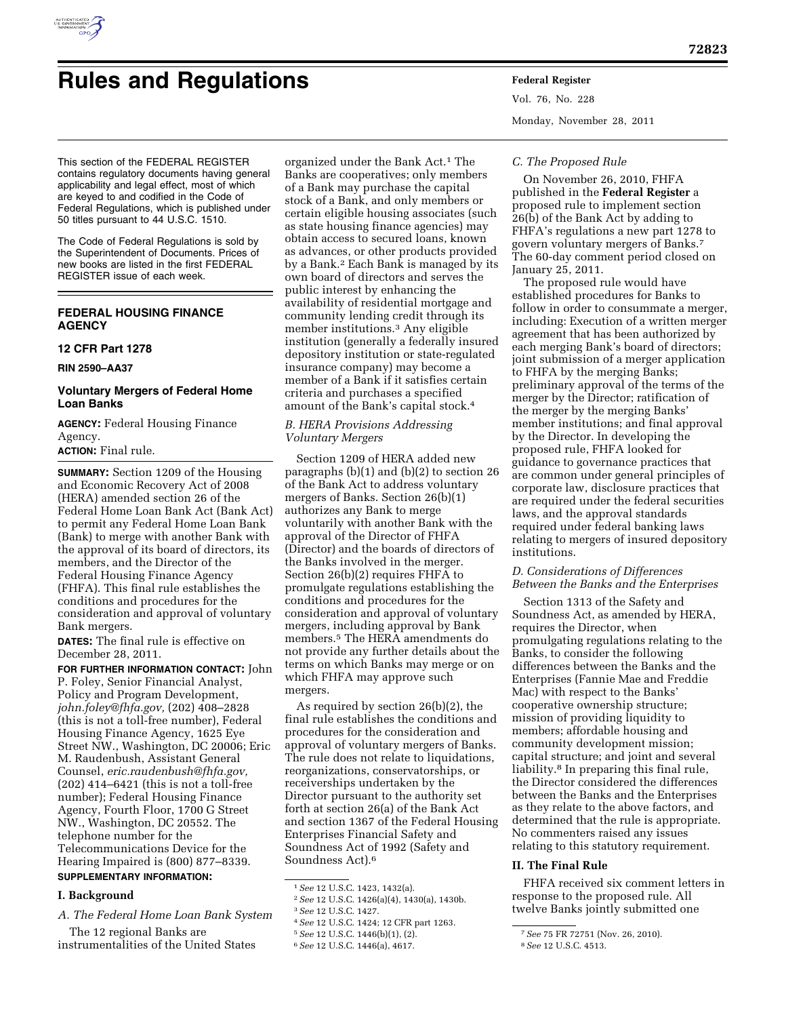

# **Rules and Regulations Federal Register**

Vol. 76, No. 228 Monday, November 28, 2011

This section of the FEDERAL REGISTER contains regulatory documents having general applicability and legal effect, most of which are keyed to and codified in the Code of Federal Regulations, which is published under 50 titles pursuant to 44 U.S.C. 1510.

The Code of Federal Regulations is sold by the Superintendent of Documents. Prices of new books are listed in the first FEDERAL REGISTER issue of each week.

## **FEDERAL HOUSING FINANCE AGENCY**

**12 CFR Part 1278** 

**RIN 2590–AA37** 

## **Voluntary Mergers of Federal Home Loan Banks**

**AGENCY:** Federal Housing Finance Agency.

## **ACTION:** Final rule.

**SUMMARY:** Section 1209 of the Housing and Economic Recovery Act of 2008 (HERA) amended section 26 of the Federal Home Loan Bank Act (Bank Act) to permit any Federal Home Loan Bank (Bank) to merge with another Bank with the approval of its board of directors, its members, and the Director of the Federal Housing Finance Agency (FHFA). This final rule establishes the conditions and procedures for the consideration and approval of voluntary Bank mergers.

**DATES:** The final rule is effective on December 28, 2011.

**FOR FURTHER INFORMATION CONTACT:** John P. Foley, Senior Financial Analyst, Policy and Program Development, *[john.foley@fhfa.gov,](mailto:john.foley@fhfa.gov)* (202) 408–2828 (this is not a toll-free number), Federal Housing Finance Agency, 1625 Eye Street NW., Washington, DC 20006; Eric M. Raudenbush, Assistant General Counsel, *[eric.raudenbush@fhfa.gov,](mailto:eric.raudenbush@fhfa.gov)*  (202) 414–6421 (this is not a toll-free number); Federal Housing Finance Agency, Fourth Floor, 1700 G Street NW., Washington, DC 20552. The telephone number for the Telecommunications Device for the Hearing Impaired is (800) 877–8339. **SUPPLEMENTARY INFORMATION:** 

## **I. Background**

*A. The Federal Home Loan Bank System* 

The 12 regional Banks are instrumentalities of the United States

organized under the Bank Act.1 The Banks are cooperatives; only members of a Bank may purchase the capital stock of a Bank, and only members or certain eligible housing associates (such as state housing finance agencies) may obtain access to secured loans, known as advances, or other products provided by a Bank.2 Each Bank is managed by its own board of directors and serves the public interest by enhancing the availability of residential mortgage and community lending credit through its member institutions.3 Any eligible institution (generally a federally insured depository institution or state-regulated insurance company) may become a member of a Bank if it satisfies certain criteria and purchases a specified amount of the Bank's capital stock.4

## *B. HERA Provisions Addressing Voluntary Mergers*

Section 1209 of HERA added new paragraphs (b)(1) and (b)(2) to section 26 of the Bank Act to address voluntary mergers of Banks. Section 26(b)(1) authorizes any Bank to merge voluntarily with another Bank with the approval of the Director of FHFA (Director) and the boards of directors of the Banks involved in the merger. Section 26(b)(2) requires FHFA to promulgate regulations establishing the conditions and procedures for the consideration and approval of voluntary mergers, including approval by Bank members.5 The HERA amendments do not provide any further details about the terms on which Banks may merge or on which FHFA may approve such mergers.

As required by section 26(b)(2), the final rule establishes the conditions and procedures for the consideration and approval of voluntary mergers of Banks. The rule does not relate to liquidations, reorganizations, conservatorships, or receiverships undertaken by the Director pursuant to the authority set forth at section 26(a) of the Bank Act and section 1367 of the Federal Housing Enterprises Financial Safety and Soundness Act of 1992 (Safety and Soundness Act).6

## *C. The Proposed Rule*

On November 26, 2010, FHFA published in the **Federal Register** a proposed rule to implement section 26(b) of the Bank Act by adding to FHFA's regulations a new part 1278 to govern voluntary mergers of Banks.7 The 60-day comment period closed on January 25, 2011.

The proposed rule would have established procedures for Banks to follow in order to consummate a merger, including: Execution of a written merger agreement that has been authorized by each merging Bank's board of directors; joint submission of a merger application to FHFA by the merging Banks; preliminary approval of the terms of the merger by the Director; ratification of the merger by the merging Banks' member institutions; and final approval by the Director. In developing the proposed rule, FHFA looked for guidance to governance practices that are common under general principles of corporate law, disclosure practices that are required under the federal securities laws, and the approval standards required under federal banking laws relating to mergers of insured depository institutions.

## *D. Considerations of Differences Between the Banks and the Enterprises*

Section 1313 of the Safety and Soundness Act, as amended by HERA, requires the Director, when promulgating regulations relating to the Banks, to consider the following differences between the Banks and the Enterprises (Fannie Mae and Freddie Mac) with respect to the Banks' cooperative ownership structure; mission of providing liquidity to members; affordable housing and community development mission; capital structure; and joint and several liability.8 In preparing this final rule, the Director considered the differences between the Banks and the Enterprises as they relate to the above factors, and determined that the rule is appropriate. No commenters raised any issues relating to this statutory requirement.

## **II. The Final Rule**

FHFA received six comment letters in response to the proposed rule. All twelve Banks jointly submitted one

<sup>1</sup>*See* 12 U.S.C. 1423, 1432(a).

<sup>2</sup>*See* 12 U.S.C. 1426(a)(4), 1430(a), 1430b.

<sup>3</sup>*See* 12 U.S.C. 1427.

<sup>4</sup>*See* 12 U.S.C. 1424; 12 CFR part 1263.

<sup>5</sup>*See* 12 U.S.C. 1446(b)(1), (2).

<sup>6</sup>*See* 12 U.S.C. 1446(a), 4617.

<sup>7</sup>*See* 75 FR 72751 (Nov. 26, 2010).

<sup>8</sup>*See* 12 U.S.C. 4513.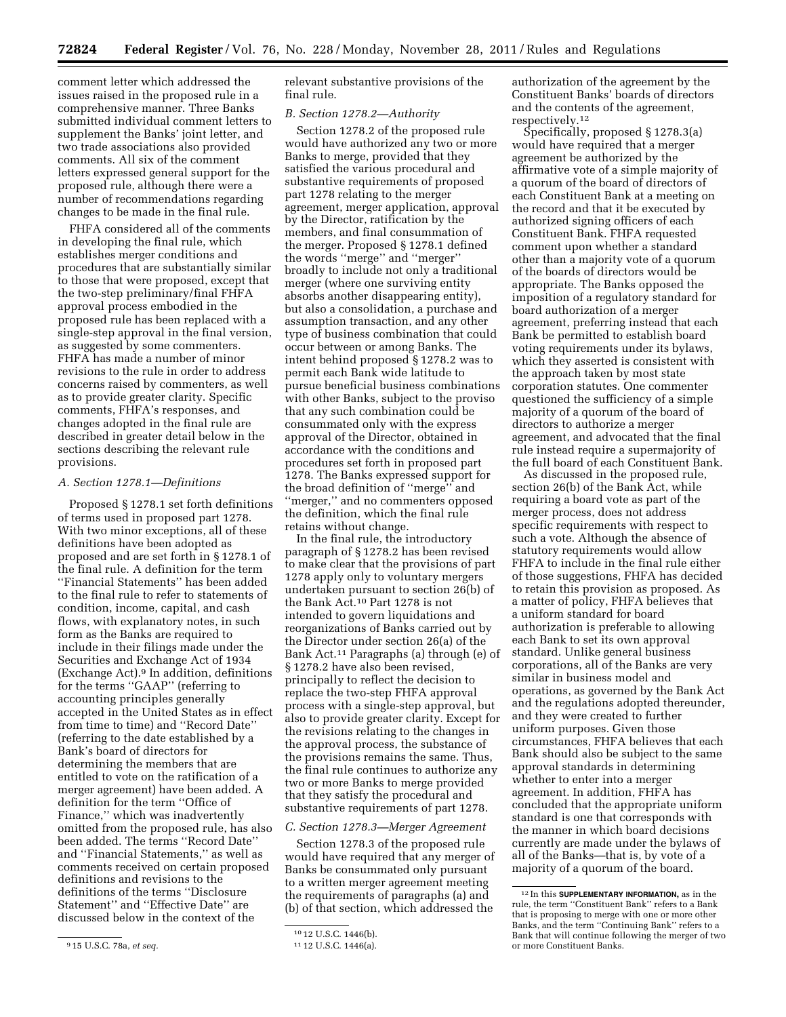comment letter which addressed the issues raised in the proposed rule in a comprehensive manner. Three Banks submitted individual comment letters to supplement the Banks' joint letter, and two trade associations also provided comments. All six of the comment letters expressed general support for the proposed rule, although there were a number of recommendations regarding changes to be made in the final rule.

FHFA considered all of the comments in developing the final rule, which establishes merger conditions and procedures that are substantially similar to those that were proposed, except that the two-step preliminary/final FHFA approval process embodied in the proposed rule has been replaced with a single-step approval in the final version, as suggested by some commenters. FHFA has made a number of minor revisions to the rule in order to address concerns raised by commenters, as well as to provide greater clarity. Specific comments, FHFA's responses, and changes adopted in the final rule are described in greater detail below in the sections describing the relevant rule provisions.

#### *A. Section 1278.1—Definitions*

Proposed § 1278.1 set forth definitions of terms used in proposed part 1278. With two minor exceptions, all of these definitions have been adopted as proposed and are set forth in § 1278.1 of the final rule. A definition for the term ''Financial Statements'' has been added to the final rule to refer to statements of condition, income, capital, and cash flows, with explanatory notes, in such form as the Banks are required to include in their filings made under the Securities and Exchange Act of 1934 (Exchange Act).9 In addition, definitions for the terms ''GAAP'' (referring to accounting principles generally accepted in the United States as in effect from time to time) and ''Record Date'' (referring to the date established by a Bank's board of directors for determining the members that are entitled to vote on the ratification of a merger agreement) have been added. A definition for the term ''Office of Finance,'' which was inadvertently omitted from the proposed rule, has also been added. The terms ''Record Date'' and ''Financial Statements,'' as well as comments received on certain proposed definitions and revisions to the definitions of the terms ''Disclosure Statement'' and ''Effective Date'' are discussed below in the context of the

relevant substantive provisions of the final rule.

#### *B. Section 1278.2—Authority*

Section 1278.2 of the proposed rule would have authorized any two or more Banks to merge, provided that they satisfied the various procedural and substantive requirements of proposed part 1278 relating to the merger agreement, merger application, approval by the Director, ratification by the members, and final consummation of the merger. Proposed § 1278.1 defined the words ''merge'' and ''merger'' broadly to include not only a traditional merger (where one surviving entity absorbs another disappearing entity), but also a consolidation, a purchase and assumption transaction, and any other type of business combination that could occur between or among Banks. The intent behind proposed § 1278.2 was to permit each Bank wide latitude to pursue beneficial business combinations with other Banks, subject to the proviso that any such combination could be consummated only with the express approval of the Director, obtained in accordance with the conditions and procedures set forth in proposed part 1278. The Banks expressed support for the broad definition of ''merge'' and ''merger,'' and no commenters opposed the definition, which the final rule retains without change.

In the final rule, the introductory paragraph of § 1278.2 has been revised to make clear that the provisions of part 1278 apply only to voluntary mergers undertaken pursuant to section 26(b) of the Bank Act.10 Part 1278 is not intended to govern liquidations and reorganizations of Banks carried out by the Director under section 26(a) of the Bank Act.11 Paragraphs (a) through (e) of § 1278.2 have also been revised, principally to reflect the decision to replace the two-step FHFA approval process with a single-step approval, but also to provide greater clarity. Except for the revisions relating to the changes in the approval process, the substance of the provisions remains the same. Thus, the final rule continues to authorize any two or more Banks to merge provided that they satisfy the procedural and substantive requirements of part 1278.

#### *C. Section 1278.3—Merger Agreement*

Section 1278.3 of the proposed rule would have required that any merger of Banks be consummated only pursuant to a written merger agreement meeting the requirements of paragraphs (a) and (b) of that section, which addressed the

authorization of the agreement by the Constituent Banks' boards of directors and the contents of the agreement, respectively.12

Specifically, proposed § 1278.3(a) would have required that a merger agreement be authorized by the affirmative vote of a simple majority of a quorum of the board of directors of each Constituent Bank at a meeting on the record and that it be executed by authorized signing officers of each Constituent Bank. FHFA requested comment upon whether a standard other than a majority vote of a quorum of the boards of directors would be appropriate. The Banks opposed the imposition of a regulatory standard for board authorization of a merger agreement, preferring instead that each Bank be permitted to establish board voting requirements under its bylaws, which they asserted is consistent with the approach taken by most state corporation statutes. One commenter questioned the sufficiency of a simple majority of a quorum of the board of directors to authorize a merger agreement, and advocated that the final rule instead require a supermajority of the full board of each Constituent Bank.

As discussed in the proposed rule, section 26(b) of the Bank Act, while requiring a board vote as part of the merger process, does not address specific requirements with respect to such a vote. Although the absence of statutory requirements would allow FHFA to include in the final rule either of those suggestions, FHFA has decided to retain this provision as proposed. As a matter of policy, FHFA believes that a uniform standard for board authorization is preferable to allowing each Bank to set its own approval standard. Unlike general business corporations, all of the Banks are very similar in business model and operations, as governed by the Bank Act and the regulations adopted thereunder, and they were created to further uniform purposes. Given those circumstances, FHFA believes that each Bank should also be subject to the same approval standards in determining whether to enter into a merger agreement. In addition, FHFA has concluded that the appropriate uniform standard is one that corresponds with the manner in which board decisions currently are made under the bylaws of all of the Banks—that is, by vote of a majority of a quorum of the board.

<sup>9</sup> 15 U.S.C. 78a, *et seq.* 

<sup>10</sup> 12 U.S.C. 1446(b).

<sup>11</sup> 12 U.S.C. 1446(a).

<sup>12</sup> In this **SUPPLEMENTARY INFORMATION,** as in the rule, the term ''Constituent Bank'' refers to a Bank that is proposing to merge with one or more other Banks, and the term ''Continuing Bank'' refers to a Bank that will continue following the merger of two or more Constituent Banks.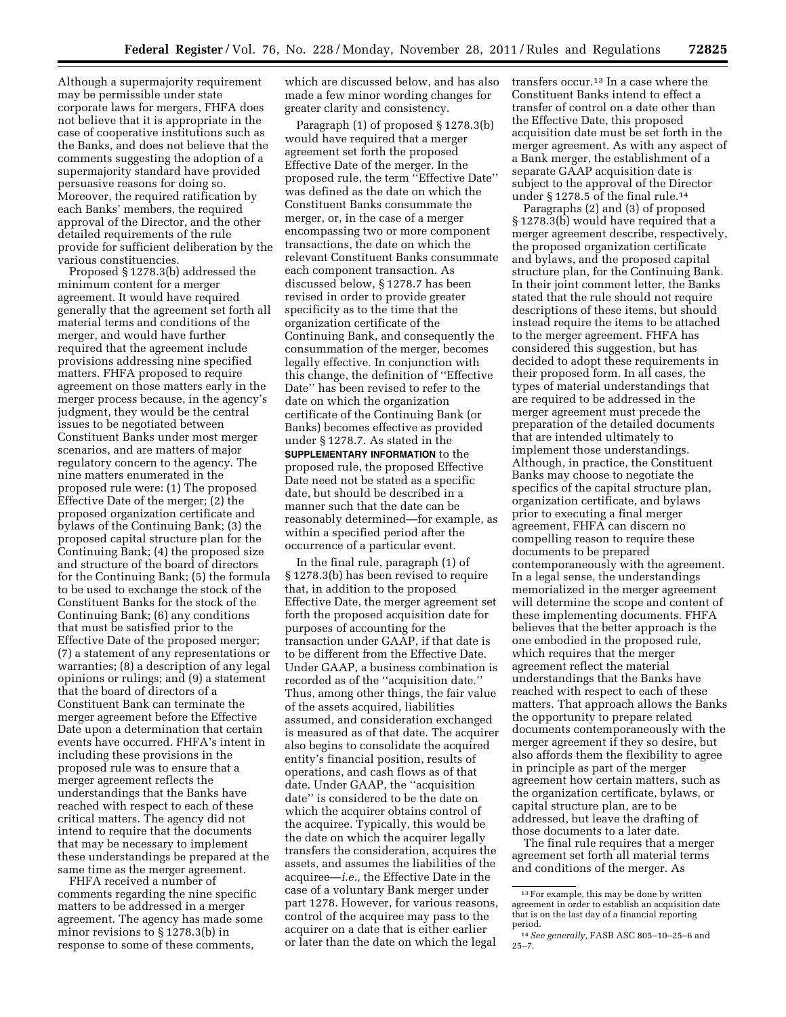Although a supermajority requirement may be permissible under state corporate laws for mergers, FHFA does not believe that it is appropriate in the case of cooperative institutions such as the Banks, and does not believe that the comments suggesting the adoption of a supermajority standard have provided persuasive reasons for doing so. Moreover, the required ratification by each Banks' members, the required approval of the Director, and the other detailed requirements of the rule provide for sufficient deliberation by the various constituencies.

Proposed § 1278.3(b) addressed the minimum content for a merger agreement. It would have required generally that the agreement set forth all material terms and conditions of the merger, and would have further required that the agreement include provisions addressing nine specified matters. FHFA proposed to require agreement on those matters early in the merger process because, in the agency's judgment, they would be the central issues to be negotiated between Constituent Banks under most merger scenarios, and are matters of major regulatory concern to the agency. The nine matters enumerated in the proposed rule were: (1) The proposed Effective Date of the merger; (2) the proposed organization certificate and bylaws of the Continuing Bank; (3) the proposed capital structure plan for the Continuing Bank; (4) the proposed size and structure of the board of directors for the Continuing Bank; (5) the formula to be used to exchange the stock of the Constituent Banks for the stock of the Continuing Bank; (6) any conditions that must be satisfied prior to the Effective Date of the proposed merger; (7) a statement of any representations or warranties; (8) a description of any legal opinions or rulings; and (9) a statement that the board of directors of a Constituent Bank can terminate the merger agreement before the Effective Date upon a determination that certain events have occurred. FHFA's intent in including these provisions in the proposed rule was to ensure that a merger agreement reflects the understandings that the Banks have reached with respect to each of these critical matters. The agency did not intend to require that the documents that may be necessary to implement these understandings be prepared at the same time as the merger agreement.

FHFA received a number of comments regarding the nine specific matters to be addressed in a merger agreement. The agency has made some minor revisions to § 1278.3(b) in response to some of these comments,

which are discussed below, and has also made a few minor wording changes for greater clarity and consistency.

Paragraph (1) of proposed § 1278.3(b) would have required that a merger agreement set forth the proposed Effective Date of the merger. In the proposed rule, the term ''Effective Date'' was defined as the date on which the Constituent Banks consummate the merger, or, in the case of a merger encompassing two or more component transactions, the date on which the relevant Constituent Banks consummate each component transaction. As discussed below, § 1278.7 has been revised in order to provide greater specificity as to the time that the organization certificate of the Continuing Bank, and consequently the consummation of the merger, becomes legally effective. In conjunction with this change, the definition of ''Effective Date'' has been revised to refer to the date on which the organization certificate of the Continuing Bank (or Banks) becomes effective as provided under § 1278.7. As stated in the **SUPPLEMENTARY INFORMATION** to the proposed rule, the proposed Effective Date need not be stated as a specific date, but should be described in a manner such that the date can be reasonably determined—for example, as within a specified period after the occurrence of a particular event.

In the final rule, paragraph (1) of § 1278.3(b) has been revised to require that, in addition to the proposed Effective Date, the merger agreement set forth the proposed acquisition date for purposes of accounting for the transaction under GAAP, if that date is to be different from the Effective Date. Under GAAP, a business combination is recorded as of the ''acquisition date.'' Thus, among other things, the fair value of the assets acquired, liabilities assumed, and consideration exchanged is measured as of that date. The acquirer also begins to consolidate the acquired entity's financial position, results of operations, and cash flows as of that date. Under GAAP, the ''acquisition date'' is considered to be the date on which the acquirer obtains control of the acquiree. Typically, this would be the date on which the acquirer legally transfers the consideration, acquires the assets, and assumes the liabilities of the acquiree—*i.e.,* the Effective Date in the case of a voluntary Bank merger under part 1278. However, for various reasons, control of the acquiree may pass to the acquirer on a date that is either earlier or later than the date on which the legal

transfers occur.13 In a case where the Constituent Banks intend to effect a transfer of control on a date other than the Effective Date, this proposed acquisition date must be set forth in the merger agreement. As with any aspect of a Bank merger, the establishment of a separate GAAP acquisition date is subject to the approval of the Director under § 1278.5 of the final rule.<sup>14</sup>

Paragraphs (2) and (3) of proposed § 1278.3(b) would have required that a merger agreement describe, respectively, the proposed organization certificate and bylaws, and the proposed capital structure plan, for the Continuing Bank. In their joint comment letter, the Banks stated that the rule should not require descriptions of these items, but should instead require the items to be attached to the merger agreement. FHFA has considered this suggestion, but has decided to adopt these requirements in their proposed form. In all cases, the types of material understandings that are required to be addressed in the merger agreement must precede the preparation of the detailed documents that are intended ultimately to implement those understandings. Although, in practice, the Constituent Banks may choose to negotiate the specifics of the capital structure plan, organization certificate, and bylaws prior to executing a final merger agreement, FHFA can discern no compelling reason to require these documents to be prepared contemporaneously with the agreement. In a legal sense, the understandings memorialized in the merger agreement will determine the scope and content of these implementing documents. FHFA believes that the better approach is the one embodied in the proposed rule, which requires that the merger agreement reflect the material understandings that the Banks have reached with respect to each of these matters. That approach allows the Banks the opportunity to prepare related documents contemporaneously with the merger agreement if they so desire, but also affords them the flexibility to agree in principle as part of the merger agreement how certain matters, such as the organization certificate, bylaws, or capital structure plan, are to be addressed, but leave the drafting of those documents to a later date.

The final rule requires that a merger agreement set forth all material terms and conditions of the merger. As

<sup>13</sup>For example, this may be done by written agreement in order to establish an acquisition date that is on the last day of a financial reporting

period. 14*See generally,* FASB ASC 805–10–25–6 and  $25 - 7.$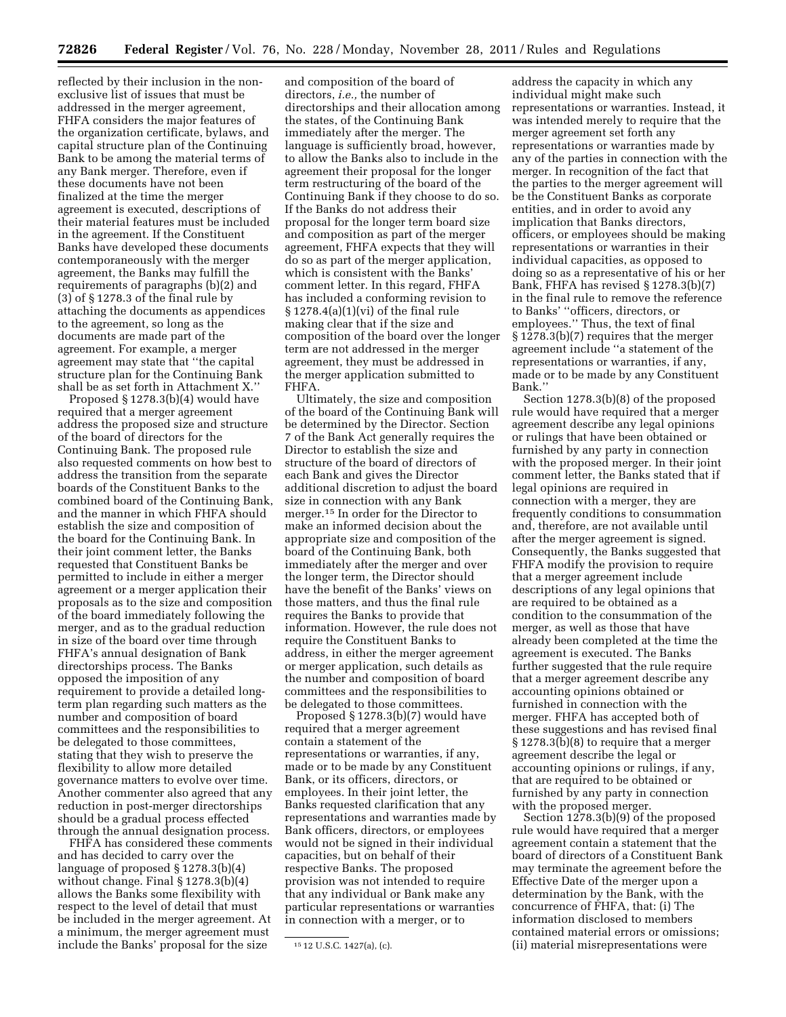reflected by their inclusion in the nonexclusive list of issues that must be addressed in the merger agreement, FHFA considers the major features of the organization certificate, bylaws, and capital structure plan of the Continuing Bank to be among the material terms of any Bank merger. Therefore, even if these documents have not been finalized at the time the merger agreement is executed, descriptions of their material features must be included in the agreement. If the Constituent Banks have developed these documents contemporaneously with the merger agreement, the Banks may fulfill the requirements of paragraphs (b)(2) and (3) of § 1278.3 of the final rule by attaching the documents as appendices to the agreement, so long as the documents are made part of the agreement. For example, a merger agreement may state that ''the capital structure plan for the Continuing Bank shall be as set forth in Attachment X.''

Proposed § 1278.3(b)(4) would have required that a merger agreement address the proposed size and structure of the board of directors for the Continuing Bank. The proposed rule also requested comments on how best to address the transition from the separate boards of the Constituent Banks to the combined board of the Continuing Bank, and the manner in which FHFA should establish the size and composition of the board for the Continuing Bank. In their joint comment letter, the Banks requested that Constituent Banks be permitted to include in either a merger agreement or a merger application their proposals as to the size and composition of the board immediately following the merger, and as to the gradual reduction in size of the board over time through FHFA's annual designation of Bank directorships process. The Banks opposed the imposition of any requirement to provide a detailed longterm plan regarding such matters as the number and composition of board committees and the responsibilities to be delegated to those committees, stating that they wish to preserve the flexibility to allow more detailed governance matters to evolve over time. Another commenter also agreed that any reduction in post-merger directorships should be a gradual process effected through the annual designation process.

FHFA has considered these comments and has decided to carry over the language of proposed § 1278.3(b)(4) without change. Final § 1278.3(b)(4) allows the Banks some flexibility with respect to the level of detail that must be included in the merger agreement. At a minimum, the merger agreement must include the Banks' proposal for the size

and composition of the board of directors, *i.e.,* the number of directorships and their allocation among the states, of the Continuing Bank immediately after the merger. The language is sufficiently broad, however, to allow the Banks also to include in the agreement their proposal for the longer term restructuring of the board of the Continuing Bank if they choose to do so. If the Banks do not address their proposal for the longer term board size and composition as part of the merger agreement, FHFA expects that they will do so as part of the merger application, which is consistent with the Banks' comment letter. In this regard, FHFA has included a conforming revision to § 1278.4(a)(1)(vi) of the final rule making clear that if the size and composition of the board over the longer term are not addressed in the merger agreement, they must be addressed in the merger application submitted to FHFA.

Ultimately, the size and composition of the board of the Continuing Bank will be determined by the Director. Section 7 of the Bank Act generally requires the Director to establish the size and structure of the board of directors of each Bank and gives the Director additional discretion to adjust the board size in connection with any Bank merger.15 In order for the Director to make an informed decision about the appropriate size and composition of the board of the Continuing Bank, both immediately after the merger and over the longer term, the Director should have the benefit of the Banks' views on those matters, and thus the final rule requires the Banks to provide that information. However, the rule does not require the Constituent Banks to address, in either the merger agreement or merger application, such details as the number and composition of board committees and the responsibilities to be delegated to those committees.

Proposed § 1278.3(b)(7) would have required that a merger agreement contain a statement of the representations or warranties, if any, made or to be made by any Constituent Bank, or its officers, directors, or employees. In their joint letter, the Banks requested clarification that any representations and warranties made by Bank officers, directors, or employees would not be signed in their individual capacities, but on behalf of their respective Banks. The proposed provision was not intended to require that any individual or Bank make any particular representations or warranties in connection with a merger, or to

address the capacity in which any individual might make such representations or warranties. Instead, it was intended merely to require that the merger agreement set forth any representations or warranties made by any of the parties in connection with the merger. In recognition of the fact that the parties to the merger agreement will be the Constituent Banks as corporate entities, and in order to avoid any implication that Banks directors, officers, or employees should be making representations or warranties in their individual capacities, as opposed to doing so as a representative of his or her Bank, FHFA has revised § 1278.3(b)(7) in the final rule to remove the reference to Banks' ''officers, directors, or employees.'' Thus, the text of final § 1278.3(b)(7) requires that the merger agreement include ''a statement of the representations or warranties, if any, made or to be made by any Constituent Bank.''

Section 1278.3(b)(8) of the proposed rule would have required that a merger agreement describe any legal opinions or rulings that have been obtained or furnished by any party in connection with the proposed merger. In their joint comment letter, the Banks stated that if legal opinions are required in connection with a merger, they are frequently conditions to consummation and, therefore, are not available until after the merger agreement is signed. Consequently, the Banks suggested that FHFA modify the provision to require that a merger agreement include descriptions of any legal opinions that are required to be obtained as a condition to the consummation of the merger, as well as those that have already been completed at the time the agreement is executed. The Banks further suggested that the rule require that a merger agreement describe any accounting opinions obtained or furnished in connection with the merger. FHFA has accepted both of these suggestions and has revised final § 1278.3(b)(8) to require that a merger agreement describe the legal or accounting opinions or rulings, if any, that are required to be obtained or furnished by any party in connection with the proposed merger.

Section 1278.3(b)(9) of the proposed rule would have required that a merger agreement contain a statement that the board of directors of a Constituent Bank may terminate the agreement before the Effective Date of the merger upon a determination by the Bank, with the concurrence of FHFA, that: (i) The information disclosed to members contained material errors or omissions; (ii) material misrepresentations were

<sup>15</sup> 12 U.S.C. 1427(a), (c).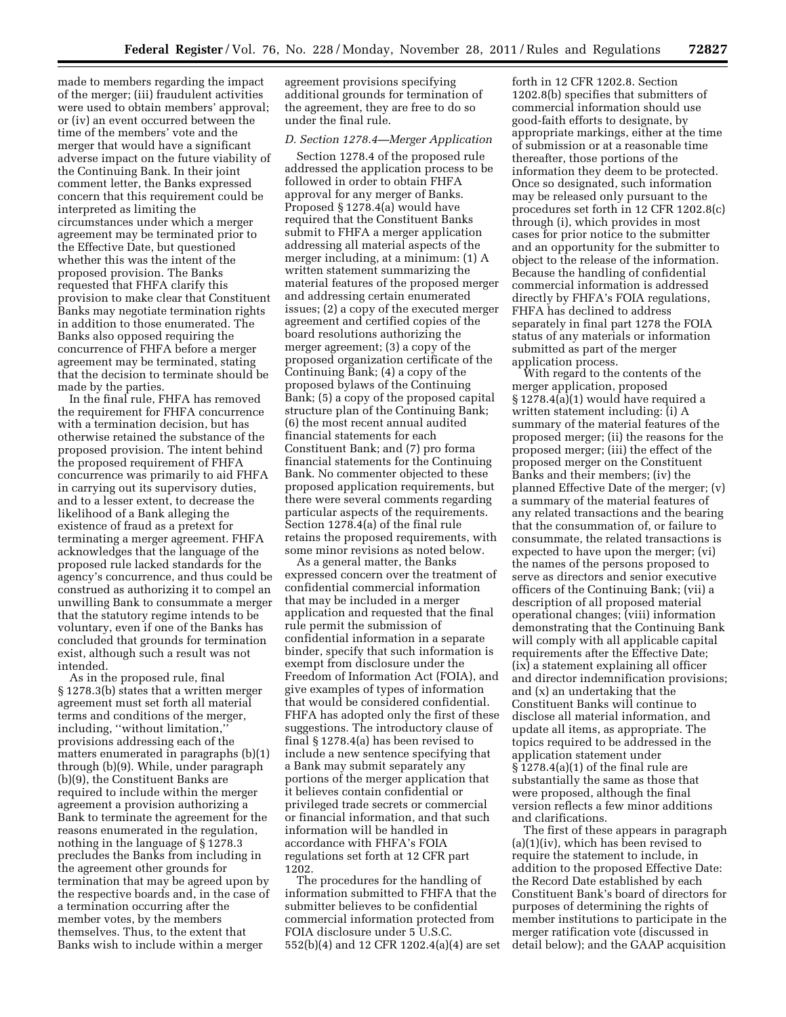made to members regarding the impact of the merger; (iii) fraudulent activities were used to obtain members' approval; or (iv) an event occurred between the time of the members' vote and the merger that would have a significant adverse impact on the future viability of the Continuing Bank. In their joint comment letter, the Banks expressed concern that this requirement could be interpreted as limiting the circumstances under which a merger agreement may be terminated prior to the Effective Date, but questioned whether this was the intent of the proposed provision. The Banks requested that FHFA clarify this provision to make clear that Constituent Banks may negotiate termination rights in addition to those enumerated. The Banks also opposed requiring the concurrence of FHFA before a merger agreement may be terminated, stating that the decision to terminate should be made by the parties.

In the final rule, FHFA has removed the requirement for FHFA concurrence with a termination decision, but has otherwise retained the substance of the proposed provision. The intent behind the proposed requirement of FHFA concurrence was primarily to aid FHFA in carrying out its supervisory duties, and to a lesser extent, to decrease the likelihood of a Bank alleging the existence of fraud as a pretext for terminating a merger agreement. FHFA acknowledges that the language of the proposed rule lacked standards for the agency's concurrence, and thus could be construed as authorizing it to compel an unwilling Bank to consummate a merger that the statutory regime intends to be voluntary, even if one of the Banks has concluded that grounds for termination exist, although such a result was not intended.

As in the proposed rule, final § 1278.3(b) states that a written merger agreement must set forth all material terms and conditions of the merger, including, ''without limitation,'' provisions addressing each of the matters enumerated in paragraphs (b)(1) through (b)(9). While, under paragraph (b)(9), the Constituent Banks are required to include within the merger agreement a provision authorizing a Bank to terminate the agreement for the reasons enumerated in the regulation, nothing in the language of § 1278.3 precludes the Banks from including in the agreement other grounds for termination that may be agreed upon by the respective boards and, in the case of a termination occurring after the member votes, by the members themselves. Thus, to the extent that Banks wish to include within a merger

agreement provisions specifying additional grounds for termination of the agreement, they are free to do so under the final rule.

#### *D. Section 1278.4—Merger Application*

Section 1278.4 of the proposed rule addressed the application process to be followed in order to obtain FHFA approval for any merger of Banks. Proposed § 1278.4(a) would have required that the Constituent Banks submit to FHFA a merger application addressing all material aspects of the merger including, at a minimum: (1) A written statement summarizing the material features of the proposed merger and addressing certain enumerated issues; (2) a copy of the executed merger agreement and certified copies of the board resolutions authorizing the merger agreement; (3) a copy of the proposed organization certificate of the Continuing Bank; (4) a copy of the proposed bylaws of the Continuing Bank; (5) a copy of the proposed capital structure plan of the Continuing Bank; (6) the most recent annual audited financial statements for each Constituent Bank; and (7) pro forma financial statements for the Continuing Bank. No commenter objected to these proposed application requirements, but there were several comments regarding particular aspects of the requirements. Section 1278.4(a) of the final rule retains the proposed requirements, with some minor revisions as noted below.

As a general matter, the Banks expressed concern over the treatment of confidential commercial information that may be included in a merger application and requested that the final rule permit the submission of confidential information in a separate binder, specify that such information is exempt from disclosure under the Freedom of Information Act (FOIA), and give examples of types of information that would be considered confidential. FHFA has adopted only the first of these suggestions. The introductory clause of final § 1278.4(a) has been revised to include a new sentence specifying that a Bank may submit separately any portions of the merger application that it believes contain confidential or privileged trade secrets or commercial or financial information, and that such information will be handled in accordance with FHFA's FOIA regulations set forth at 12 CFR part 1202.

The procedures for the handling of information submitted to FHFA that the submitter believes to be confidential commercial information protected from FOIA disclosure under 5 U.S.C. 552(b)(4) and 12 CFR 1202.4(a)(4) are set

forth in 12 CFR 1202.8. Section 1202.8(b) specifies that submitters of commercial information should use good-faith efforts to designate, by appropriate markings, either at the time of submission or at a reasonable time thereafter, those portions of the information they deem to be protected. Once so designated, such information may be released only pursuant to the procedures set forth in 12 CFR 1202.8(c) through (i), which provides in most cases for prior notice to the submitter and an opportunity for the submitter to object to the release of the information. Because the handling of confidential commercial information is addressed directly by FHFA's FOIA regulations, FHFA has declined to address separately in final part 1278 the FOIA status of any materials or information submitted as part of the merger application process.

With regard to the contents of the merger application, proposed § 1278.4(a)(1) would have required a written statement including: (i) A summary of the material features of the proposed merger; (ii) the reasons for the proposed merger; (iii) the effect of the proposed merger on the Constituent Banks and their members; (iv) the planned Effective Date of the merger; (v) a summary of the material features of any related transactions and the bearing that the consummation of, or failure to consummate, the related transactions is expected to have upon the merger; (vi) the names of the persons proposed to serve as directors and senior executive officers of the Continuing Bank; (vii) a description of all proposed material operational changes; (viii) information demonstrating that the Continuing Bank will comply with all applicable capital requirements after the Effective Date; (ix) a statement explaining all officer and director indemnification provisions; and (x) an undertaking that the Constituent Banks will continue to disclose all material information, and update all items, as appropriate. The topics required to be addressed in the application statement under § 1278.4(a)(1) of the final rule are substantially the same as those that were proposed, although the final version reflects a few minor additions and clarifications.

The first of these appears in paragraph (a)(1)(iv), which has been revised to require the statement to include, in addition to the proposed Effective Date: the Record Date established by each Constituent Bank's board of directors for purposes of determining the rights of member institutions to participate in the merger ratification vote (discussed in detail below); and the GAAP acquisition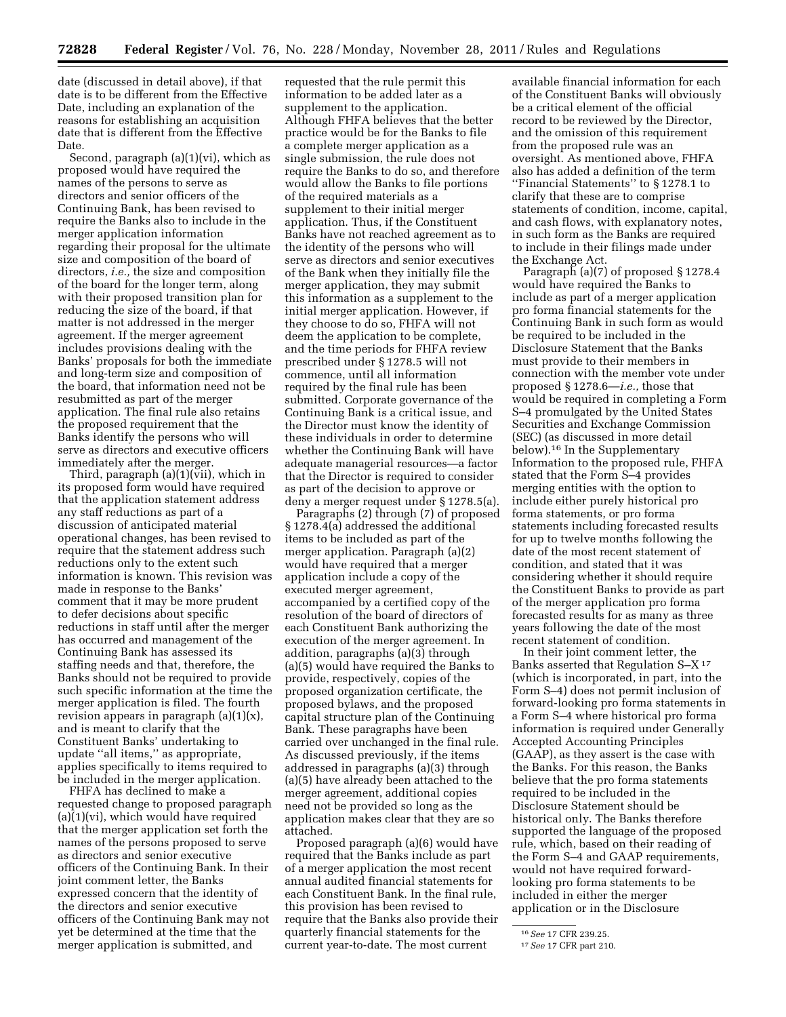date (discussed in detail above), if that date is to be different from the Effective Date, including an explanation of the reasons for establishing an acquisition date that is different from the Effective Date.

Second, paragraph (a)(1)(vi), which as proposed would have required the names of the persons to serve as directors and senior officers of the Continuing Bank, has been revised to require the Banks also to include in the merger application information regarding their proposal for the ultimate size and composition of the board of directors, *i.e.,* the size and composition of the board for the longer term, along with their proposed transition plan for reducing the size of the board, if that matter is not addressed in the merger agreement. If the merger agreement includes provisions dealing with the Banks' proposals for both the immediate and long-term size and composition of the board, that information need not be resubmitted as part of the merger application. The final rule also retains the proposed requirement that the Banks identify the persons who will serve as directors and executive officers immediately after the merger.

Third, paragraph  $(a)(1)(\tilde{v}ii)$ , which in its proposed form would have required that the application statement address any staff reductions as part of a discussion of anticipated material operational changes, has been revised to require that the statement address such reductions only to the extent such information is known. This revision was made in response to the Banks' comment that it may be more prudent to defer decisions about specific reductions in staff until after the merger has occurred and management of the Continuing Bank has assessed its staffing needs and that, therefore, the Banks should not be required to provide such specific information at the time the merger application is filed. The fourth revision appears in paragraph  $(a)(1)(x)$ , and is meant to clarify that the Constituent Banks' undertaking to update ''all items,'' as appropriate, applies specifically to items required to be included in the merger application.

FHFA has declined to make a requested change to proposed paragraph (a)(1)(vi), which would have required that the merger application set forth the names of the persons proposed to serve as directors and senior executive officers of the Continuing Bank. In their joint comment letter, the Banks expressed concern that the identity of the directors and senior executive officers of the Continuing Bank may not yet be determined at the time that the merger application is submitted, and

requested that the rule permit this information to be added later as a supplement to the application. Although FHFA believes that the better practice would be for the Banks to file a complete merger application as a single submission, the rule does not require the Banks to do so, and therefore would allow the Banks to file portions of the required materials as a supplement to their initial merger application. Thus, if the Constituent Banks have not reached agreement as to the identity of the persons who will serve as directors and senior executives of the Bank when they initially file the merger application, they may submit this information as a supplement to the initial merger application. However, if they choose to do so, FHFA will not deem the application to be complete, and the time periods for FHFA review prescribed under § 1278.5 will not commence, until all information required by the final rule has been submitted. Corporate governance of the Continuing Bank is a critical issue, and the Director must know the identity of these individuals in order to determine whether the Continuing Bank will have adequate managerial resources—a factor that the Director is required to consider as part of the decision to approve or deny a merger request under § 1278.5(a).

Paragraphs (2) through (7) of proposed § 1278.4(a) addressed the additional items to be included as part of the merger application. Paragraph (a)(2) would have required that a merger application include a copy of the executed merger agreement, accompanied by a certified copy of the resolution of the board of directors of each Constituent Bank authorizing the execution of the merger agreement. In addition, paragraphs (a)(3) through (a)(5) would have required the Banks to provide, respectively, copies of the proposed organization certificate, the proposed bylaws, and the proposed capital structure plan of the Continuing Bank. These paragraphs have been carried over unchanged in the final rule. As discussed previously, if the items addressed in paragraphs (a)(3) through (a)(5) have already been attached to the merger agreement, additional copies need not be provided so long as the application makes clear that they are so attached.

Proposed paragraph (a)(6) would have required that the Banks include as part of a merger application the most recent annual audited financial statements for each Constituent Bank. In the final rule, this provision has been revised to require that the Banks also provide their quarterly financial statements for the current year-to-date. The most current

available financial information for each of the Constituent Banks will obviously be a critical element of the official record to be reviewed by the Director, and the omission of this requirement from the proposed rule was an oversight. As mentioned above, FHFA also has added a definition of the term ''Financial Statements'' to § 1278.1 to clarify that these are to comprise statements of condition, income, capital, and cash flows, with explanatory notes, in such form as the Banks are required to include in their filings made under the Exchange Act.

Paragraph (a)(7) of proposed § 1278.4 would have required the Banks to include as part of a merger application pro forma financial statements for the Continuing Bank in such form as would be required to be included in the Disclosure Statement that the Banks must provide to their members in connection with the member vote under proposed § 1278.6—*i.e.,* those that would be required in completing a Form S–4 promulgated by the United States Securities and Exchange Commission (SEC) (as discussed in more detail below).16 In the Supplementary Information to the proposed rule, FHFA stated that the Form S–4 provides merging entities with the option to include either purely historical pro forma statements, or pro forma statements including forecasted results for up to twelve months following the date of the most recent statement of condition, and stated that it was considering whether it should require the Constituent Banks to provide as part of the merger application pro forma forecasted results for as many as three years following the date of the most recent statement of condition.

In their joint comment letter, the Banks asserted that Regulation S–X 17 (which is incorporated, in part, into the Form S–4) does not permit inclusion of forward-looking pro forma statements in a Form S–4 where historical pro forma information is required under Generally Accepted Accounting Principles (GAAP), as they assert is the case with the Banks. For this reason, the Banks believe that the pro forma statements required to be included in the Disclosure Statement should be historical only. The Banks therefore supported the language of the proposed rule, which, based on their reading of the Form S–4 and GAAP requirements, would not have required forwardlooking pro forma statements to be included in either the merger application or in the Disclosure

<sup>16</sup>*See* 17 CFR 239.25.

<sup>17</sup>*See* 17 CFR part 210.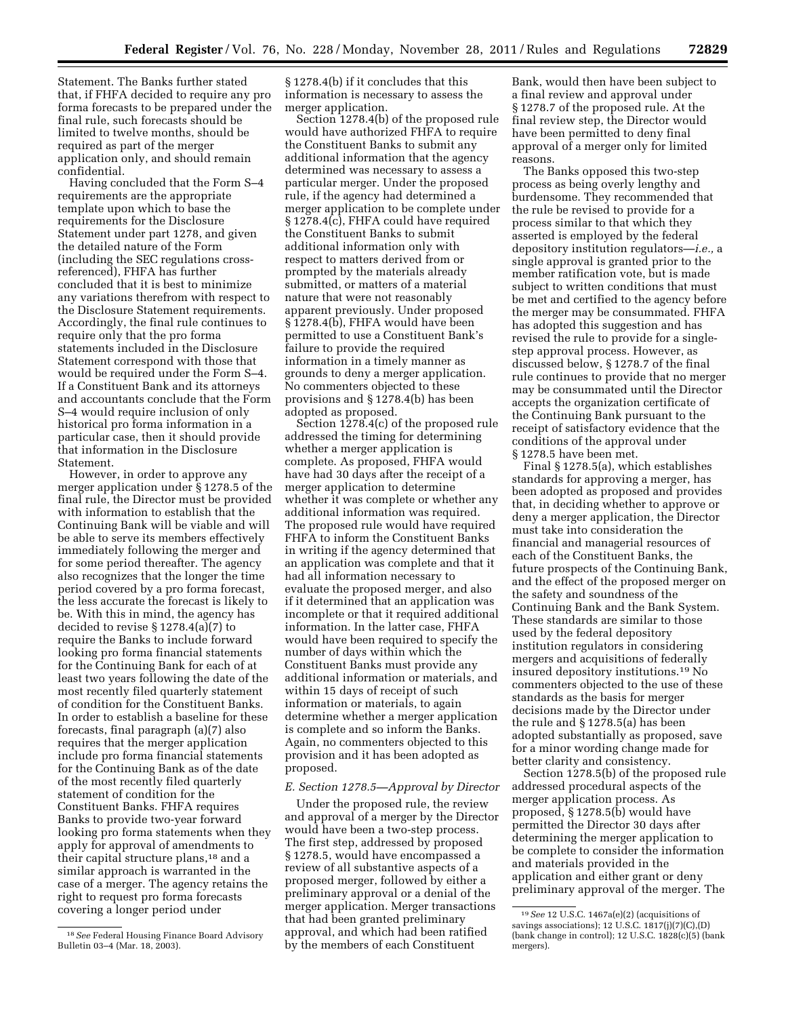Statement. The Banks further stated that, if FHFA decided to require any pro forma forecasts to be prepared under the final rule, such forecasts should be limited to twelve months, should be required as part of the merger application only, and should remain confidential.

Having concluded that the Form S–4 requirements are the appropriate template upon which to base the requirements for the Disclosure Statement under part 1278, and given the detailed nature of the Form (including the SEC regulations crossreferenced), FHFA has further concluded that it is best to minimize any variations therefrom with respect to the Disclosure Statement requirements. Accordingly, the final rule continues to require only that the pro forma statements included in the Disclosure Statement correspond with those that would be required under the Form S–4. If a Constituent Bank and its attorneys and accountants conclude that the Form S–4 would require inclusion of only historical pro forma information in a particular case, then it should provide that information in the Disclosure Statement.

However, in order to approve any merger application under § 1278.5 of the final rule, the Director must be provided with information to establish that the Continuing Bank will be viable and will be able to serve its members effectively immediately following the merger and for some period thereafter. The agency also recognizes that the longer the time period covered by a pro forma forecast, the less accurate the forecast is likely to be. With this in mind, the agency has decided to revise § 1278.4(a)(7) to require the Banks to include forward looking pro forma financial statements for the Continuing Bank for each of at least two years following the date of the most recently filed quarterly statement of condition for the Constituent Banks. In order to establish a baseline for these forecasts, final paragraph (a)(7) also requires that the merger application include pro forma financial statements for the Continuing Bank as of the date of the most recently filed quarterly statement of condition for the Constituent Banks. FHFA requires Banks to provide two-year forward looking pro forma statements when they apply for approval of amendments to their capital structure plans,<sup>18</sup> and a similar approach is warranted in the case of a merger. The agency retains the right to request pro forma forecasts covering a longer period under

§ 1278.4(b) if it concludes that this information is necessary to assess the merger application.

Section 1278.4(b) of the proposed rule would have authorized FHFA to require the Constituent Banks to submit any additional information that the agency determined was necessary to assess a particular merger. Under the proposed rule, if the agency had determined a merger application to be complete under § 1278.4(c), FHFA could have required the Constituent Banks to submit additional information only with respect to matters derived from or prompted by the materials already submitted, or matters of a material nature that were not reasonably apparent previously. Under proposed § 1278.4(b), FHFA would have been permitted to use a Constituent Bank's failure to provide the required information in a timely manner as grounds to deny a merger application. No commenters objected to these provisions and § 1278.4(b) has been adopted as proposed.

Section 1278.4(c) of the proposed rule addressed the timing for determining whether a merger application is complete. As proposed, FHFA would have had 30 days after the receipt of a merger application to determine whether it was complete or whether any additional information was required. The proposed rule would have required FHFA to inform the Constituent Banks in writing if the agency determined that an application was complete and that it had all information necessary to evaluate the proposed merger, and also if it determined that an application was incomplete or that it required additional information. In the latter case, FHFA would have been required to specify the number of days within which the Constituent Banks must provide any additional information or materials, and within 15 days of receipt of such information or materials, to again determine whether a merger application is complete and so inform the Banks. Again, no commenters objected to this provision and it has been adopted as proposed.

#### *E. Section 1278.5—Approval by Director*

Under the proposed rule, the review and approval of a merger by the Director would have been a two-step process. The first step, addressed by proposed § 1278.5, would have encompassed a review of all substantive aspects of a proposed merger, followed by either a preliminary approval or a denial of the merger application. Merger transactions that had been granted preliminary approval, and which had been ratified by the members of each Constituent

Bank, would then have been subject to a final review and approval under § 1278.7 of the proposed rule. At the final review step, the Director would have been permitted to deny final approval of a merger only for limited reasons.

The Banks opposed this two-step process as being overly lengthy and burdensome. They recommended that the rule be revised to provide for a process similar to that which they asserted is employed by the federal depository institution regulators—*i.e.,* a single approval is granted prior to the member ratification vote, but is made subject to written conditions that must be met and certified to the agency before the merger may be consummated. FHFA has adopted this suggestion and has revised the rule to provide for a singlestep approval process. However, as discussed below, § 1278.7 of the final rule continues to provide that no merger may be consummated until the Director accepts the organization certificate of the Continuing Bank pursuant to the receipt of satisfactory evidence that the conditions of the approval under § 1278.5 have been met.

Final § 1278.5(a), which establishes standards for approving a merger, has been adopted as proposed and provides that, in deciding whether to approve or deny a merger application, the Director must take into consideration the financial and managerial resources of each of the Constituent Banks, the future prospects of the Continuing Bank, and the effect of the proposed merger on the safety and soundness of the Continuing Bank and the Bank System. These standards are similar to those used by the federal depository institution regulators in considering mergers and acquisitions of federally insured depository institutions.19 No commenters objected to the use of these standards as the basis for merger decisions made by the Director under the rule and § 1278.5(a) has been adopted substantially as proposed, save for a minor wording change made for better clarity and consistency.

Section 1278.5(b) of the proposed rule addressed procedural aspects of the merger application process. As proposed, § 1278.5(b) would have permitted the Director 30 days after determining the merger application to be complete to consider the information and materials provided in the application and either grant or deny preliminary approval of the merger. The

<sup>18</sup>*See* Federal Housing Finance Board Advisory Bulletin 03–4 (Mar. 18, 2003).

<sup>19</sup>*See* 12 U.S.C. 1467a(e)(2) (acquisitions of savings associations); 12 U.S.C. 1817(j)(7)(C),(D) (bank change in control); 12 U.S.C. 1828(c)(5) (bank mergers).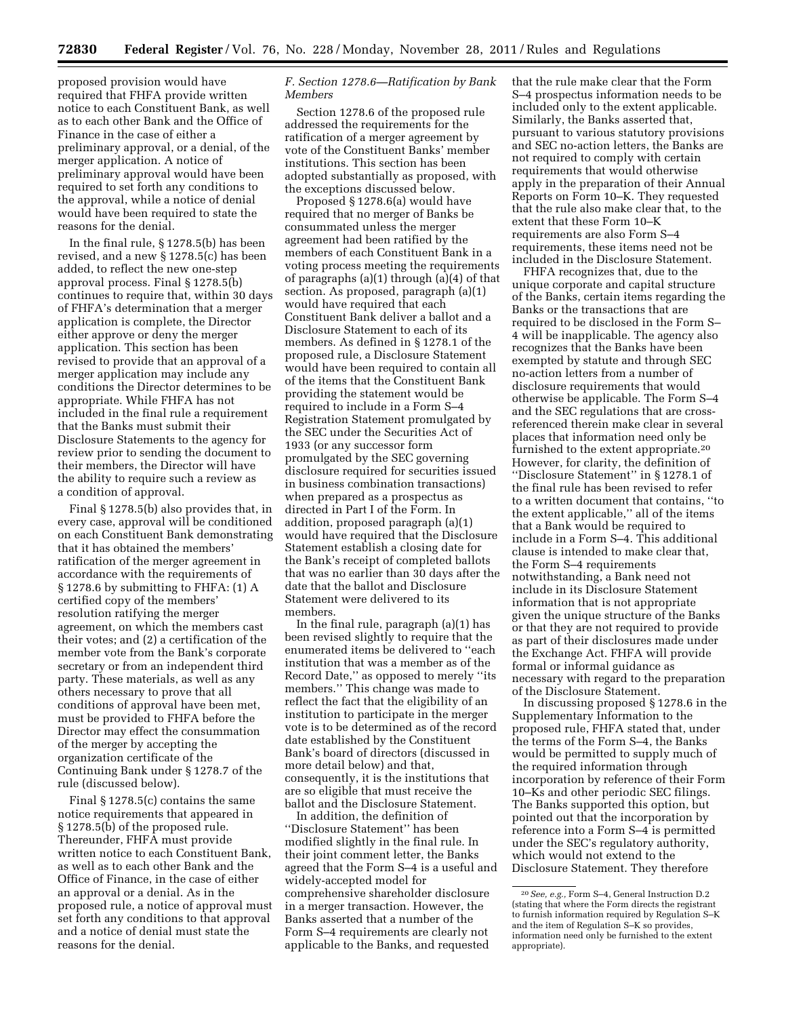proposed provision would have required that FHFA provide written notice to each Constituent Bank, as well as to each other Bank and the Office of Finance in the case of either a preliminary approval, or a denial, of the merger application. A notice of preliminary approval would have been required to set forth any conditions to the approval, while a notice of denial would have been required to state the reasons for the denial.

In the final rule, § 1278.5(b) has been revised, and a new § 1278.5(c) has been added, to reflect the new one-step approval process. Final § 1278.5(b) continues to require that, within 30 days of FHFA's determination that a merger application is complete, the Director either approve or deny the merger application. This section has been revised to provide that an approval of a merger application may include any conditions the Director determines to be appropriate. While FHFA has not included in the final rule a requirement that the Banks must submit their Disclosure Statements to the agency for review prior to sending the document to their members, the Director will have the ability to require such a review as a condition of approval.

Final § 1278.5(b) also provides that, in every case, approval will be conditioned on each Constituent Bank demonstrating that it has obtained the members' ratification of the merger agreement in accordance with the requirements of § 1278.6 by submitting to FHFA: (1) A certified copy of the members' resolution ratifying the merger agreement, on which the members cast their votes; and (2) a certification of the member vote from the Bank's corporate secretary or from an independent third party. These materials, as well as any others necessary to prove that all conditions of approval have been met, must be provided to FHFA before the Director may effect the consummation of the merger by accepting the organization certificate of the Continuing Bank under § 1278.7 of the rule (discussed below).

Final § 1278.5(c) contains the same notice requirements that appeared in § 1278.5(b) of the proposed rule. Thereunder, FHFA must provide written notice to each Constituent Bank, as well as to each other Bank and the Office of Finance, in the case of either an approval or a denial. As in the proposed rule, a notice of approval must set forth any conditions to that approval and a notice of denial must state the reasons for the denial.

#### *F. Section 1278.6—Ratification by Bank Members*

Section 1278.6 of the proposed rule addressed the requirements for the ratification of a merger agreement by vote of the Constituent Banks' member institutions. This section has been adopted substantially as proposed, with the exceptions discussed below.

Proposed § 1278.6(a) would have required that no merger of Banks be consummated unless the merger agreement had been ratified by the members of each Constituent Bank in a voting process meeting the requirements of paragraphs (a)(1) through (a)(4) of that section. As proposed, paragraph (a)(1) would have required that each Constituent Bank deliver a ballot and a Disclosure Statement to each of its members. As defined in § 1278.1 of the proposed rule, a Disclosure Statement would have been required to contain all of the items that the Constituent Bank providing the statement would be required to include in a Form S–4 Registration Statement promulgated by the SEC under the Securities Act of 1933 (or any successor form promulgated by the SEC governing disclosure required for securities issued in business combination transactions) when prepared as a prospectus as directed in Part I of the Form. In addition, proposed paragraph (a)(1) would have required that the Disclosure Statement establish a closing date for the Bank's receipt of completed ballots that was no earlier than 30 days after the date that the ballot and Disclosure Statement were delivered to its members.

In the final rule, paragraph (a)(1) has been revised slightly to require that the enumerated items be delivered to ''each institution that was a member as of the Record Date,'' as opposed to merely ''its members.'' This change was made to reflect the fact that the eligibility of an institution to participate in the merger vote is to be determined as of the record date established by the Constituent Bank's board of directors (discussed in more detail below) and that, consequently, it is the institutions that are so eligible that must receive the ballot and the Disclosure Statement.

In addition, the definition of ''Disclosure Statement'' has been modified slightly in the final rule. In their joint comment letter, the Banks agreed that the Form S–4 is a useful and widely-accepted model for comprehensive shareholder disclosure in a merger transaction. However, the Banks asserted that a number of the Form S–4 requirements are clearly not applicable to the Banks, and requested

that the rule make clear that the Form S–4 prospectus information needs to be included only to the extent applicable. Similarly, the Banks asserted that, pursuant to various statutory provisions and SEC no-action letters, the Banks are not required to comply with certain requirements that would otherwise apply in the preparation of their Annual Reports on Form 10–K. They requested that the rule also make clear that, to the extent that these Form 10–K requirements are also Form S–4 requirements, these items need not be included in the Disclosure Statement.

FHFA recognizes that, due to the unique corporate and capital structure of the Banks, certain items regarding the Banks or the transactions that are required to be disclosed in the Form S– 4 will be inapplicable. The agency also recognizes that the Banks have been exempted by statute and through SEC no-action letters from a number of disclosure requirements that would otherwise be applicable. The Form S–4 and the SEC regulations that are crossreferenced therein make clear in several places that information need only be furnished to the extent appropriate.20 However, for clarity, the definition of ''Disclosure Statement'' in § 1278.1 of the final rule has been revised to refer to a written document that contains, ''to the extent applicable,'' all of the items that a Bank would be required to include in a Form S–4. This additional clause is intended to make clear that, the Form S–4 requirements notwithstanding, a Bank need not include in its Disclosure Statement information that is not appropriate given the unique structure of the Banks or that they are not required to provide as part of their disclosures made under the Exchange Act. FHFA will provide formal or informal guidance as necessary with regard to the preparation of the Disclosure Statement.

In discussing proposed § 1278.6 in the Supplementary Information to the proposed rule, FHFA stated that, under the terms of the Form S–4, the Banks would be permitted to supply much of the required information through incorporation by reference of their Form 10–Ks and other periodic SEC filings. The Banks supported this option, but pointed out that the incorporation by reference into a Form S–4 is permitted under the SEC's regulatory authority, which would not extend to the Disclosure Statement. They therefore

<sup>20</sup>*See, e.g.,* Form S–4, General Instruction D.2 (stating that where the Form directs the registrant to furnish information required by Regulation S–K and the item of Regulation S–K so provides, information need only be furnished to the extent appropriate).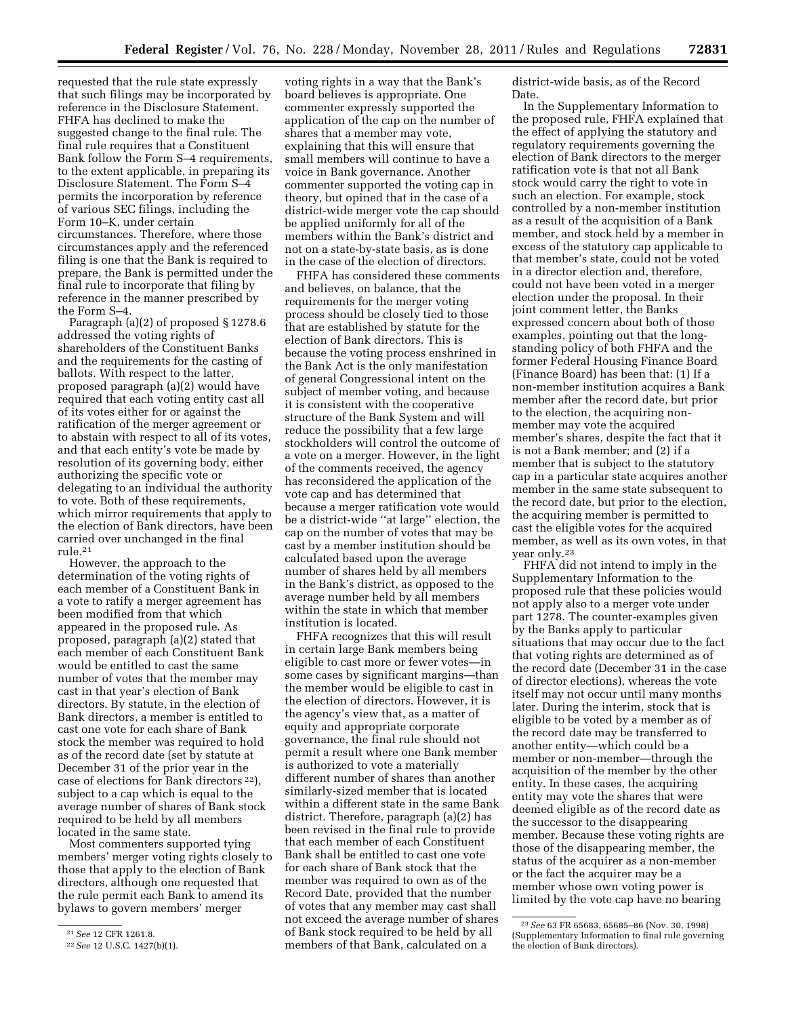requested that the rule state expressly that such filings may be incorporated by reference in the Disclosure Statement. FHFA has declined to make the suggested change to the final rule. The final rule requires that a Constituent Bank follow the Form S–4 requirements, to the extent applicable, in preparing its Disclosure Statement. The Form S–4 permits the incorporation by reference of various SEC filings, including the Form 10–K, under certain circumstances. Therefore, where those circumstances apply and the referenced filing is one that the Bank is required to prepare, the Bank is permitted under the final rule to incorporate that filing by reference in the manner prescribed by the Form S–4.

Paragraph (a)(2) of proposed § 1278.6 addressed the voting rights of shareholders of the Constituent Banks and the requirements for the casting of ballots. With respect to the latter, proposed paragraph (a)(2) would have required that each voting entity cast all of its votes either for or against the ratification of the merger agreement or to abstain with respect to all of its votes, and that each entity's vote be made by resolution of its governing body, either authorizing the specific vote or delegating to an individual the authority to vote. Both of these requirements, which mirror requirements that apply to the election of Bank directors, have been carried over unchanged in the final rule.21

However, the approach to the determination of the voting rights of each member of a Constituent Bank in a vote to ratify a merger agreement has been modified from that which appeared in the proposed rule. As proposed, paragraph (a)(2) stated that each member of each Constituent Bank would be entitled to cast the same number of votes that the member may cast in that year's election of Bank directors. By statute, in the election of Bank directors, a member is entitled to cast one vote for each share of Bank stock the member was required to hold as of the record date (set by statute at December 31 of the prior year in the case of elections for Bank directors 22), subject to a cap which is equal to the average number of shares of Bank stock required to be held by all members located in the same state.

Most commenters supported tying members' merger voting rights closely to those that apply to the election of Bank directors, although one requested that the rule permit each Bank to amend its bylaws to govern members' merger

voting rights in a way that the Bank's board believes is appropriate. One commenter expressly supported the application of the cap on the number of shares that a member may vote, explaining that this will ensure that small members will continue to have a voice in Bank governance. Another commenter supported the voting cap in theory, but opined that in the case of a district-wide merger vote the cap should be applied uniformly for all of the members within the Bank's district and not on a state-by-state basis, as is done in the case of the election of directors.

FHFA has considered these comments and believes, on balance, that the requirements for the merger voting process should be closely tied to those that are established by statute for the election of Bank directors. This is because the voting process enshrined in the Bank Act is the only manifestation of general Congressional intent on the subject of member voting, and because it is consistent with the cooperative structure of the Bank System and will reduce the possibility that a few large stockholders will control the outcome of a vote on a merger. However, in the light of the comments received, the agency has reconsidered the application of the vote cap and has determined that because a merger ratification vote would be a district-wide ''at large'' election, the cap on the number of votes that may be cast by a member institution should be calculated based upon the average number of shares held by all members in the Bank's district, as opposed to the average number held by all members within the state in which that member institution is located.

FHFA recognizes that this will result in certain large Bank members being eligible to cast more or fewer votes—in some cases by significant margins—than the member would be eligible to cast in the election of directors. However, it is the agency's view that, as a matter of equity and appropriate corporate governance, the final rule should not permit a result where one Bank member is authorized to vote a materially different number of shares than another similarly-sized member that is located within a different state in the same Bank district. Therefore, paragraph (a)(2) has been revised in the final rule to provide that each member of each Constituent Bank shall be entitled to cast one vote for each share of Bank stock that the member was required to own as of the Record Date, provided that the number of votes that any member may cast shall not exceed the average number of shares of Bank stock required to be held by all members of that Bank, calculated on a

district-wide basis, as of the Record Date.

In the Supplementary Information to the proposed rule, FHFA explained that the effect of applying the statutory and regulatory requirements governing the election of Bank directors to the merger ratification vote is that not all Bank stock would carry the right to vote in such an election. For example, stock controlled by a non-member institution as a result of the acquisition of a Bank member, and stock held by a member in excess of the statutory cap applicable to that member's state, could not be voted in a director election and, therefore, could not have been voted in a merger election under the proposal. In their joint comment letter, the Banks expressed concern about both of those examples, pointing out that the longstanding policy of both FHFA and the former Federal Housing Finance Board (Finance Board) has been that: (1) If a non-member institution acquires a Bank member after the record date, but prior to the election, the acquiring nonmember may vote the acquired member's shares, despite the fact that it is not a Bank member; and (2) if a member that is subject to the statutory cap in a particular state acquires another member in the same state subsequent to the record date, but prior to the election, the acquiring member is permitted to cast the eligible votes for the acquired member, as well as its own votes, in that year only.23

FHFA did not intend to imply in the Supplementary Information to the proposed rule that these policies would not apply also to a merger vote under part 1278. The counter-examples given by the Banks apply to particular situations that may occur due to the fact that voting rights are determined as of the record date (December 31 in the case of director elections), whereas the vote itself may not occur until many months later. During the interim, stock that is eligible to be voted by a member as of the record date may be transferred to another entity—which could be a member or non-member—through the acquisition of the member by the other entity. In these cases, the acquiring entity may vote the shares that were deemed eligible as of the record date as the successor to the disappearing member. Because these voting rights are those of the disappearing member, the status of the acquirer as a non-member or the fact the acquirer may be a member whose own voting power is limited by the vote cap have no bearing

<sup>21</sup>*See* 12 CFR 1261.8.

<sup>22</sup>*See* 12 U.S.C. 1427(b)(1).

<sup>23</sup>*See* 63 FR 65683, 65685–86 (Nov. 30, 1998) (Supplementary Information to final rule governing the election of Bank directors).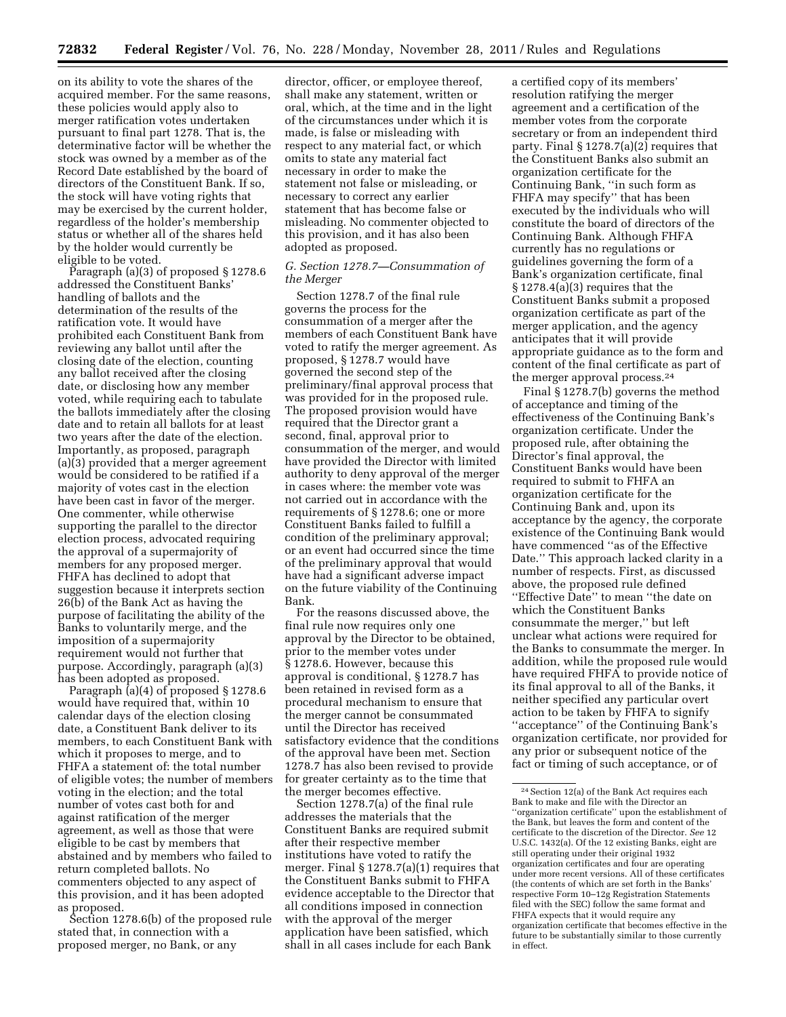on its ability to vote the shares of the acquired member. For the same reasons, these policies would apply also to merger ratification votes undertaken pursuant to final part 1278. That is, the determinative factor will be whether the stock was owned by a member as of the Record Date established by the board of directors of the Constituent Bank. If so, the stock will have voting rights that may be exercised by the current holder, regardless of the holder's membership status or whether all of the shares held by the holder would currently be eligible to be voted.

Paragraph (a)(3) of proposed § 1278.6 addressed the Constituent Banks' handling of ballots and the determination of the results of the ratification vote. It would have prohibited each Constituent Bank from reviewing any ballot until after the closing date of the election, counting any ballot received after the closing date, or disclosing how any member voted, while requiring each to tabulate the ballots immediately after the closing date and to retain all ballots for at least two years after the date of the election. Importantly, as proposed, paragraph (a)(3) provided that a merger agreement would be considered to be ratified if a majority of votes cast in the election have been cast in favor of the merger. One commenter, while otherwise supporting the parallel to the director election process, advocated requiring the approval of a supermajority of members for any proposed merger. FHFA has declined to adopt that suggestion because it interprets section 26(b) of the Bank Act as having the purpose of facilitating the ability of the Banks to voluntarily merge, and the imposition of a supermajority requirement would not further that purpose. Accordingly, paragraph (a)(3) has been adopted as proposed.

Paragraph (a)(4) of proposed § 1278.6 would have required that, within 10 calendar days of the election closing date, a Constituent Bank deliver to its members, to each Constituent Bank with which it proposes to merge, and to FHFA a statement of: the total number of eligible votes; the number of members voting in the election; and the total number of votes cast both for and against ratification of the merger agreement, as well as those that were eligible to be cast by members that abstained and by members who failed to return completed ballots. No commenters objected to any aspect of this provision, and it has been adopted as proposed.

Section 1278.6(b) of the proposed rule stated that, in connection with a proposed merger, no Bank, or any

director, officer, or employee thereof, shall make any statement, written or oral, which, at the time and in the light of the circumstances under which it is made, is false or misleading with respect to any material fact, or which omits to state any material fact necessary in order to make the statement not false or misleading, or necessary to correct any earlier statement that has become false or misleading. No commenter objected to this provision, and it has also been adopted as proposed.

#### *G. Section 1278.7—Consummation of the Merger*

Section 1278.7 of the final rule governs the process for the consummation of a merger after the members of each Constituent Bank have voted to ratify the merger agreement. As proposed, § 1278.7 would have governed the second step of the preliminary/final approval process that was provided for in the proposed rule. The proposed provision would have required that the Director grant a second, final, approval prior to consummation of the merger, and would have provided the Director with limited authority to deny approval of the merger in cases where: the member vote was not carried out in accordance with the requirements of § 1278.6; one or more Constituent Banks failed to fulfill a condition of the preliminary approval; or an event had occurred since the time of the preliminary approval that would have had a significant adverse impact on the future viability of the Continuing Bank.

For the reasons discussed above, the final rule now requires only one approval by the Director to be obtained, prior to the member votes under § 1278.6. However, because this approval is conditional, § 1278.7 has been retained in revised form as a procedural mechanism to ensure that the merger cannot be consummated until the Director has received satisfactory evidence that the conditions of the approval have been met. Section 1278.7 has also been revised to provide for greater certainty as to the time that the merger becomes effective.

Section 1278.7(a) of the final rule addresses the materials that the Constituent Banks are required submit after their respective member institutions have voted to ratify the merger. Final § 1278.7(a)(1) requires that the Constituent Banks submit to FHFA evidence acceptable to the Director that all conditions imposed in connection with the approval of the merger application have been satisfied, which shall in all cases include for each Bank

a certified copy of its members' resolution ratifying the merger agreement and a certification of the member votes from the corporate secretary or from an independent third party. Final  $\S 1278.7(a)(2)$  requires that the Constituent Banks also submit an organization certificate for the Continuing Bank, ''in such form as FHFA may specify'' that has been executed by the individuals who will constitute the board of directors of the Continuing Bank. Although FHFA currently has no regulations or guidelines governing the form of a Bank's organization certificate, final § 1278.4(a)(3) requires that the Constituent Banks submit a proposed organization certificate as part of the merger application, and the agency anticipates that it will provide appropriate guidance as to the form and content of the final certificate as part of the merger approval process.24

Final § 1278.7(b) governs the method of acceptance and timing of the effectiveness of the Continuing Bank's organization certificate. Under the proposed rule, after obtaining the Director's final approval, the Constituent Banks would have been required to submit to FHFA an organization certificate for the Continuing Bank and, upon its acceptance by the agency, the corporate existence of the Continuing Bank would have commenced ''as of the Effective Date.'' This approach lacked clarity in a number of respects. First, as discussed above, the proposed rule defined ''Effective Date'' to mean ''the date on which the Constituent Banks consummate the merger,'' but left unclear what actions were required for the Banks to consummate the merger. In addition, while the proposed rule would have required FHFA to provide notice of its final approval to all of the Banks, it neither specified any particular overt action to be taken by FHFA to signify ''acceptance'' of the Continuing Bank's organization certificate, nor provided for any prior or subsequent notice of the fact or timing of such acceptance, or of

 $^{\rm 24}$  Section 12(a) of the Bank Act requires each Bank to make and file with the Director an ''organization certificate'' upon the establishment of the Bank, but leaves the form and content of the certificate to the discretion of the Director. *See* 12 U.S.C. 1432(a). Of the 12 existing Banks, eight are still operating under their original 1932 organization certificates and four are operating under more recent versions. All of these certificates (the contents of which are set forth in the Banks' respective Form 10–12g Registration Statements filed with the SEC) follow the same format and FHFA expects that it would require any organization certificate that becomes effective in the future to be substantially similar to those currently in effect.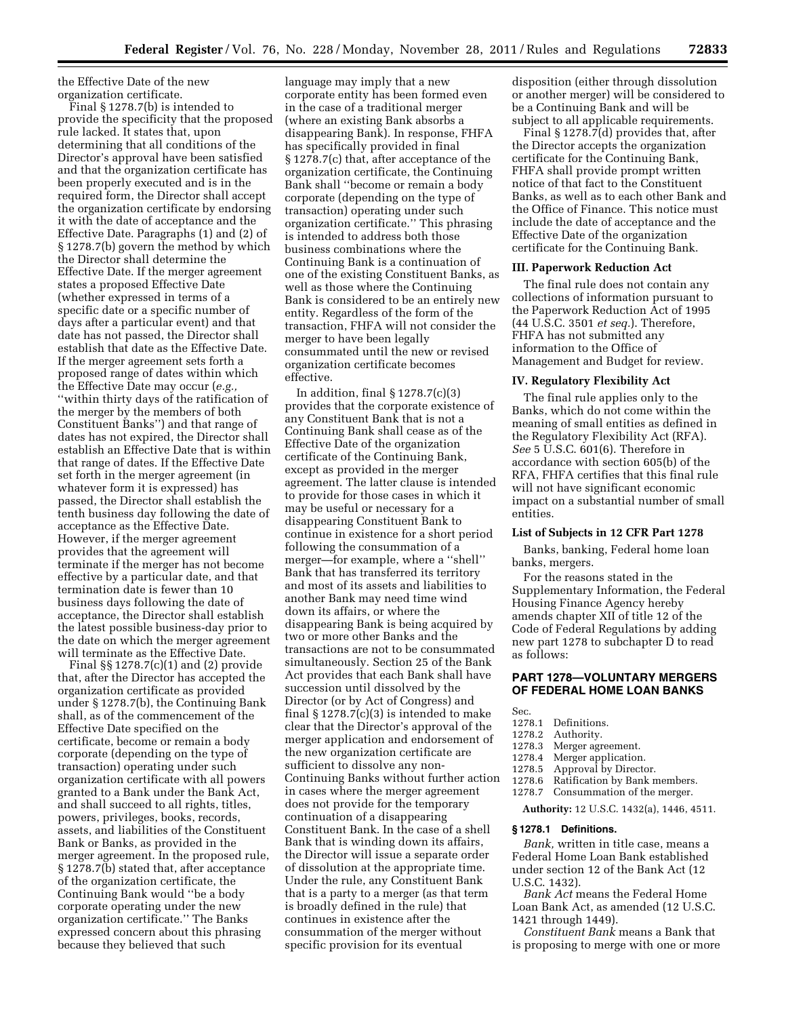the Effective Date of the new organization certificate.

Final § 1278.7(b) is intended to provide the specificity that the proposed rule lacked. It states that, upon determining that all conditions of the Director's approval have been satisfied and that the organization certificate has been properly executed and is in the required form, the Director shall accept the organization certificate by endorsing it with the date of acceptance and the Effective Date. Paragraphs (1) and (2) of § 1278.7(b) govern the method by which the Director shall determine the Effective Date. If the merger agreement states a proposed Effective Date (whether expressed in terms of a specific date or a specific number of days after a particular event) and that date has not passed, the Director shall establish that date as the Effective Date. If the merger agreement sets forth a proposed range of dates within which the Effective Date may occur (*e.g.,*  ''within thirty days of the ratification of the merger by the members of both Constituent Banks'') and that range of dates has not expired, the Director shall establish an Effective Date that is within that range of dates. If the Effective Date set forth in the merger agreement (in whatever form it is expressed) has passed, the Director shall establish the tenth business day following the date of acceptance as the Effective Date. However, if the merger agreement provides that the agreement will terminate if the merger has not become effective by a particular date, and that termination date is fewer than 10 business days following the date of acceptance, the Director shall establish the latest possible business-day prior to the date on which the merger agreement will terminate as the Effective Date.

Final §§ 1278.7(c)(1) and (2) provide that, after the Director has accepted the organization certificate as provided under § 1278.7(b), the Continuing Bank shall, as of the commencement of the Effective Date specified on the certificate, become or remain a body corporate (depending on the type of transaction) operating under such organization certificate with all powers granted to a Bank under the Bank Act, and shall succeed to all rights, titles, powers, privileges, books, records, assets, and liabilities of the Constituent Bank or Banks, as provided in the merger agreement. In the proposed rule, § 1278.7(b) stated that, after acceptance of the organization certificate, the Continuing Bank would ''be a body corporate operating under the new organization certificate.'' The Banks expressed concern about this phrasing because they believed that such

language may imply that a new corporate entity has been formed even in the case of a traditional merger (where an existing Bank absorbs a disappearing Bank). In response, FHFA has specifically provided in final § 1278.7(c) that, after acceptance of the organization certificate, the Continuing Bank shall ''become or remain a body corporate (depending on the type of transaction) operating under such organization certificate.'' This phrasing is intended to address both those business combinations where the Continuing Bank is a continuation of one of the existing Constituent Banks, as well as those where the Continuing Bank is considered to be an entirely new entity. Regardless of the form of the transaction, FHFA will not consider the merger to have been legally consummated until the new or revised organization certificate becomes effective.

In addition, final  $\S 1278.7(c)(3)$ provides that the corporate existence of any Constituent Bank that is not a Continuing Bank shall cease as of the Effective Date of the organization certificate of the Continuing Bank, except as provided in the merger agreement. The latter clause is intended to provide for those cases in which it may be useful or necessary for a disappearing Constituent Bank to continue in existence for a short period following the consummation of a merger—for example, where a ''shell'' Bank that has transferred its territory and most of its assets and liabilities to another Bank may need time wind down its affairs, or where the disappearing Bank is being acquired by two or more other Banks and the transactions are not to be consummated simultaneously. Section 25 of the Bank Act provides that each Bank shall have succession until dissolved by the Director (or by Act of Congress) and final § 1278.7(c)(3) is intended to make clear that the Director's approval of the merger application and endorsement of the new organization certificate are sufficient to dissolve any non-Continuing Banks without further action in cases where the merger agreement does not provide for the temporary continuation of a disappearing Constituent Bank. In the case of a shell Bank that is winding down its affairs, the Director will issue a separate order of dissolution at the appropriate time. Under the rule, any Constituent Bank that is a party to a merger (as that term is broadly defined in the rule) that continues in existence after the consummation of the merger without specific provision for its eventual

disposition (either through dissolution or another merger) will be considered to be a Continuing Bank and will be subject to all applicable requirements.

Final § 1278.7(d) provides that, after the Director accepts the organization certificate for the Continuing Bank, FHFA shall provide prompt written notice of that fact to the Constituent Banks, as well as to each other Bank and the Office of Finance. This notice must include the date of acceptance and the Effective Date of the organization certificate for the Continuing Bank.

#### **III. Paperwork Reduction Act**

The final rule does not contain any collections of information pursuant to the Paperwork Reduction Act of 1995 (44 U.S.C. 3501 *et seq.*). Therefore, FHFA has not submitted any information to the Office of Management and Budget for review.

## **IV. Regulatory Flexibility Act**

The final rule applies only to the Banks, which do not come within the meaning of small entities as defined in the Regulatory Flexibility Act (RFA). *See* 5 U.S.C. 601(6). Therefore in accordance with section 605(b) of the RFA, FHFA certifies that this final rule will not have significant economic impact on a substantial number of small entities.

#### **List of Subjects in 12 CFR Part 1278**

Banks, banking, Federal home loan banks, mergers.

For the reasons stated in the Supplementary Information, the Federal Housing Finance Agency hereby amends chapter XII of title 12 of the Code of Federal Regulations by adding new part 1278 to subchapter D to read as follows:

#### **PART 1278—VOLUNTARY MERGERS OF FEDERAL HOME LOAN BANKS**

- Sec.
- 
- 1278.1 Definitions.<br>1278.2 Authority. 1278.2 Authority.<br>1278.3 Merger agr
- Merger agreement.
- 1278.4 Merger application.<br>1278.5 Approval by Directo
- 1278.5 Approval by Director.<br>1278.6 Ratification by Bank n
- 
- 1278.6 Ratification by Bank members.<br>1278.7 Consummation of the merger. Consummation of the merger.

**Authority:** 12 U.S.C. 1432(a), 1446, 4511.

#### **§ 1278.1 Definitions.**

*Bank,* written in title case, means a Federal Home Loan Bank established under section 12 of the Bank Act (12 U.S.C. 1432).

*Bank Act* means the Federal Home Loan Bank Act, as amended (12 U.S.C. 1421 through 1449).

*Constituent Bank* means a Bank that is proposing to merge with one or more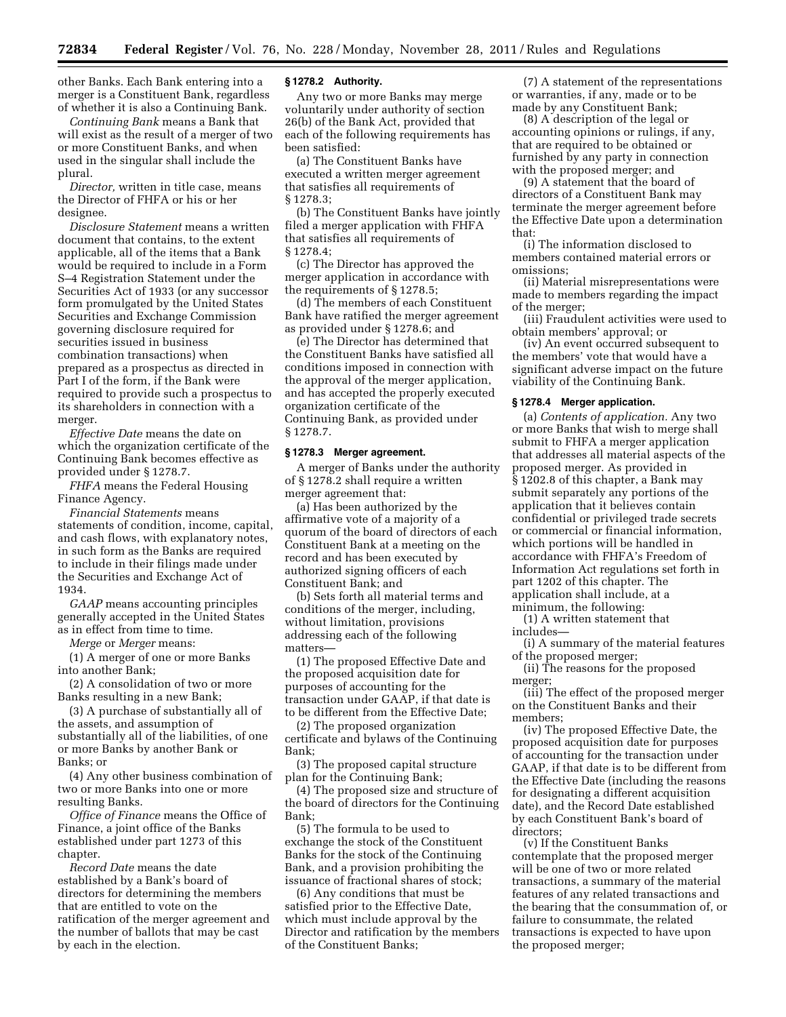other Banks. Each Bank entering into a merger is a Constituent Bank, regardless of whether it is also a Continuing Bank.

*Continuing Bank* means a Bank that will exist as the result of a merger of two or more Constituent Banks, and when used in the singular shall include the plural.

*Director,* written in title case, means the Director of FHFA or his or her designee.

*Disclosure Statement* means a written document that contains, to the extent applicable, all of the items that a Bank would be required to include in a Form S–4 Registration Statement under the Securities Act of 1933 (or any successor form promulgated by the United States Securities and Exchange Commission governing disclosure required for securities issued in business combination transactions) when prepared as a prospectus as directed in Part I of the form, if the Bank were required to provide such a prospectus to its shareholders in connection with a merger.

*Effective Date* means the date on which the organization certificate of the Continuing Bank becomes effective as provided under § 1278.7.

*FHFA* means the Federal Housing Finance Agency.

*Financial Statements* means statements of condition, income, capital, and cash flows, with explanatory notes, in such form as the Banks are required to include in their filings made under the Securities and Exchange Act of 1934.

*GAAP* means accounting principles generally accepted in the United States as in effect from time to time.

*Merge* or *Merger* means:

(1) A merger of one or more Banks into another Bank;

(2) A consolidation of two or more Banks resulting in a new Bank;

(3) A purchase of substantially all of the assets, and assumption of substantially all of the liabilities, of one or more Banks by another Bank or Banks; or

(4) Any other business combination of two or more Banks into one or more resulting Banks.

*Office of Finance* means the Office of Finance, a joint office of the Banks established under part 1273 of this chapter.

*Record Date* means the date established by a Bank's board of directors for determining the members that are entitled to vote on the ratification of the merger agreement and the number of ballots that may be cast by each in the election.

#### **§ 1278.2 Authority.**

Any two or more Banks may merge voluntarily under authority of section 26(b) of the Bank Act, provided that each of the following requirements has been satisfied:

(a) The Constituent Banks have executed a written merger agreement that satisfies all requirements of § 1278.3;

(b) The Constituent Banks have jointly filed a merger application with FHFA that satisfies all requirements of § 1278.4;

(c) The Director has approved the merger application in accordance with the requirements of § 1278.5;

(d) The members of each Constituent Bank have ratified the merger agreement as provided under § 1278.6; and

(e) The Director has determined that the Constituent Banks have satisfied all conditions imposed in connection with the approval of the merger application, and has accepted the properly executed organization certificate of the Continuing Bank, as provided under § 1278.7.

#### **§ 1278.3 Merger agreement.**

A merger of Banks under the authority of § 1278.2 shall require a written merger agreement that:

(a) Has been authorized by the affirmative vote of a majority of a quorum of the board of directors of each Constituent Bank at a meeting on the record and has been executed by authorized signing officers of each Constituent Bank; and

(b) Sets forth all material terms and conditions of the merger, including, without limitation, provisions addressing each of the following matters—

(1) The proposed Effective Date and the proposed acquisition date for purposes of accounting for the transaction under GAAP, if that date is to be different from the Effective Date;

(2) The proposed organization certificate and bylaws of the Continuing Bank;

(3) The proposed capital structure plan for the Continuing Bank;

(4) The proposed size and structure of the board of directors for the Continuing Bank;

(5) The formula to be used to exchange the stock of the Constituent Banks for the stock of the Continuing Bank, and a provision prohibiting the issuance of fractional shares of stock;

(6) Any conditions that must be satisfied prior to the Effective Date, which must include approval by the Director and ratification by the members of the Constituent Banks;

(7) A statement of the representations or warranties, if any, made or to be made by any Constituent Bank;

(8) A description of the legal or accounting opinions or rulings, if any, that are required to be obtained or furnished by any party in connection with the proposed merger; and

(9) A statement that the board of directors of a Constituent Bank may terminate the merger agreement before the Effective Date upon a determination that:

(i) The information disclosed to members contained material errors or omissions;

(ii) Material misrepresentations were made to members regarding the impact of the merger;

(iii) Fraudulent activities were used to obtain members' approval; or

(iv) An event occurred subsequent to the members' vote that would have a significant adverse impact on the future viability of the Continuing Bank.

#### **§ 1278.4 Merger application.**

(a) *Contents of application.* Any two or more Banks that wish to merge shall submit to FHFA a merger application that addresses all material aspects of the proposed merger. As provided in § 1202.8 of this chapter, a Bank may submit separately any portions of the application that it believes contain confidential or privileged trade secrets or commercial or financial information, which portions will be handled in accordance with FHFA's Freedom of Information Act regulations set forth in part 1202 of this chapter. The application shall include, at a minimum, the following:

(1) A written statement that includes—

(i) A summary of the material features of the proposed merger;

(ii) The reasons for the proposed merger;

(iii) The effect of the proposed merger on the Constituent Banks and their members;

(iv) The proposed Effective Date, the proposed acquisition date for purposes of accounting for the transaction under GAAP, if that date is to be different from the Effective Date (including the reasons for designating a different acquisition date), and the Record Date established by each Constituent Bank's board of directors;

(v) If the Constituent Banks contemplate that the proposed merger will be one of two or more related transactions, a summary of the material features of any related transactions and the bearing that the consummation of, or failure to consummate, the related transactions is expected to have upon the proposed merger;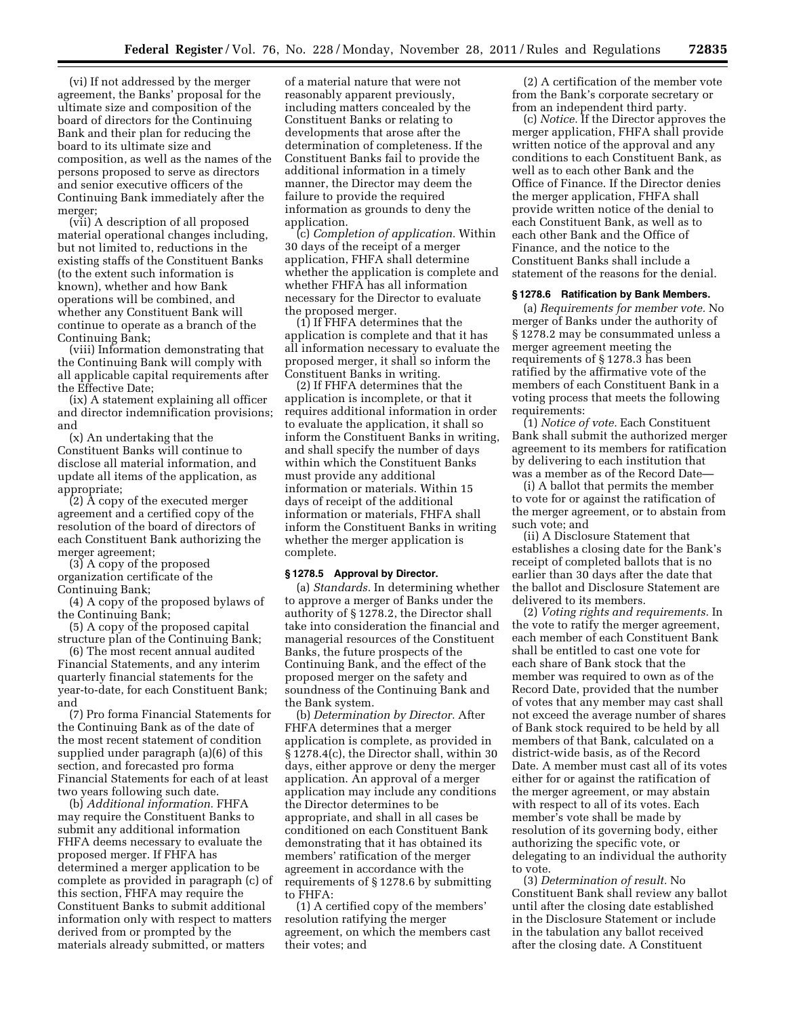(vi) If not addressed by the merger agreement, the Banks' proposal for the ultimate size and composition of the board of directors for the Continuing Bank and their plan for reducing the board to its ultimate size and composition, as well as the names of the persons proposed to serve as directors and senior executive officers of the Continuing Bank immediately after the merger;

(vii) A description of all proposed material operational changes including, but not limited to, reductions in the existing staffs of the Constituent Banks (to the extent such information is known), whether and how Bank operations will be combined, and whether any Constituent Bank will continue to operate as a branch of the Continuing Bank;

(viii) Information demonstrating that the Continuing Bank will comply with all applicable capital requirements after the Effective Date;

(ix) A statement explaining all officer and director indemnification provisions; and

(x) An undertaking that the Constituent Banks will continue to disclose all material information, and update all items of the application, as appropriate;

(2) A copy of the executed merger agreement and a certified copy of the resolution of the board of directors of each Constituent Bank authorizing the merger agreement;

(3) A copy of the proposed organization certificate of the Continuing Bank;

(4) A copy of the proposed bylaws of the Continuing Bank;

(5) A copy of the proposed capital structure plan of the Continuing Bank;

(6) The most recent annual audited Financial Statements, and any interim quarterly financial statements for the year-to-date, for each Constituent Bank; and

(7) Pro forma Financial Statements for the Continuing Bank as of the date of the most recent statement of condition supplied under paragraph (a)(6) of this section, and forecasted pro forma Financial Statements for each of at least two years following such date.

(b) *Additional information.* FHFA may require the Constituent Banks to submit any additional information FHFA deems necessary to evaluate the proposed merger. If FHFA has determined a merger application to be complete as provided in paragraph (c) of this section, FHFA may require the Constituent Banks to submit additional information only with respect to matters derived from or prompted by the materials already submitted, or matters

of a material nature that were not reasonably apparent previously, including matters concealed by the Constituent Banks or relating to developments that arose after the determination of completeness. If the Constituent Banks fail to provide the additional information in a timely manner, the Director may deem the failure to provide the required information as grounds to deny the application.

(c) *Completion of application.* Within 30 days of the receipt of a merger application, FHFA shall determine whether the application is complete and whether FHFA has all information necessary for the Director to evaluate the proposed merger.

(1) If FHFA determines that the application is complete and that it has all information necessary to evaluate the proposed merger, it shall so inform the Constituent Banks in writing.

(2) If FHFA determines that the application is incomplete, or that it requires additional information in order to evaluate the application, it shall so inform the Constituent Banks in writing, and shall specify the number of days within which the Constituent Banks must provide any additional information or materials. Within 15 days of receipt of the additional information or materials, FHFA shall inform the Constituent Banks in writing whether the merger application is complete.

### **§ 1278.5 Approval by Director.**

(a) *Standards.* In determining whether to approve a merger of Banks under the authority of § 1278.2, the Director shall take into consideration the financial and managerial resources of the Constituent Banks, the future prospects of the Continuing Bank, and the effect of the proposed merger on the safety and soundness of the Continuing Bank and the Bank system.

(b) *Determination by Director.* After FHFA determines that a merger application is complete, as provided in § 1278.4(c), the Director shall, within 30 days, either approve or deny the merger application. An approval of a merger application may include any conditions the Director determines to be appropriate, and shall in all cases be conditioned on each Constituent Bank demonstrating that it has obtained its members' ratification of the merger agreement in accordance with the requirements of § 1278.6 by submitting to FHFA:

(1) A certified copy of the members' resolution ratifying the merger agreement, on which the members cast their votes; and

(2) A certification of the member vote from the Bank's corporate secretary or from an independent third party.

(c) *Notice.* If the Director approves the merger application, FHFA shall provide written notice of the approval and any conditions to each Constituent Bank, as well as to each other Bank and the Office of Finance. If the Director denies the merger application, FHFA shall provide written notice of the denial to each Constituent Bank, as well as to each other Bank and the Office of Finance, and the notice to the Constituent Banks shall include a statement of the reasons for the denial.

#### **§ 1278.6 Ratification by Bank Members.**

(a) *Requirements for member vote.* No merger of Banks under the authority of § 1278.2 may be consummated unless a merger agreement meeting the requirements of § 1278.3 has been ratified by the affirmative vote of the members of each Constituent Bank in a voting process that meets the following requirements:

(1) *Notice of vote.* Each Constituent Bank shall submit the authorized merger agreement to its members for ratification by delivering to each institution that was a member as of the Record Date—

(i) A ballot that permits the member to vote for or against the ratification of the merger agreement, or to abstain from such vote; and

(ii) A Disclosure Statement that establishes a closing date for the Bank's receipt of completed ballots that is no earlier than 30 days after the date that the ballot and Disclosure Statement are delivered to its members.

(2) *Voting rights and requirements.* In the vote to ratify the merger agreement, each member of each Constituent Bank shall be entitled to cast one vote for each share of Bank stock that the member was required to own as of the Record Date, provided that the number of votes that any member may cast shall not exceed the average number of shares of Bank stock required to be held by all members of that Bank, calculated on a district-wide basis, as of the Record Date. A member must cast all of its votes either for or against the ratification of the merger agreement, or may abstain with respect to all of its votes. Each member's vote shall be made by resolution of its governing body, either authorizing the specific vote, or delegating to an individual the authority to vote.

(3) *Determination of result.* No Constituent Bank shall review any ballot until after the closing date established in the Disclosure Statement or include in the tabulation any ballot received after the closing date. A Constituent